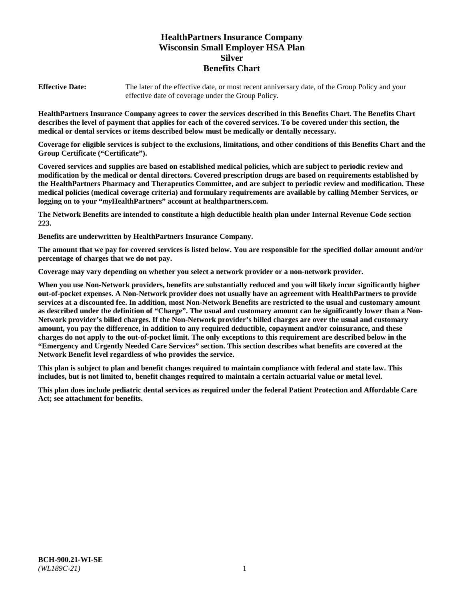# **HealthPartners Insurance Company Wisconsin Small Employer HSA Plan Silver Benefits Chart**

**Effective Date:** The later of the effective date, or most recent anniversary date, of the Group Policy and your effective date of coverage under the Group Policy.

**HealthPartners Insurance Company agrees to cover the services described in this Benefits Chart. The Benefits Chart describes the level of payment that applies for each of the covered services. To be covered under this section, the medical or dental services or items described below must be medically or dentally necessary.**

**Coverage for eligible services is subject to the exclusions, limitations, and other conditions of this Benefits Chart and the Group Certificate ("Certificate").**

**Covered services and supplies are based on established medical policies, which are subject to periodic review and modification by the medical or dental directors. Covered prescription drugs are based on requirements established by the HealthPartners Pharmacy and Therapeutics Committee, and are subject to periodic review and modification. These medical policies (medical coverage criteria) and formulary requirements are available by calling Member Services, or logging on to your "***my***HealthPartners" account at [healthpartners.com.](https://www.healthpartners.com/hp/index.html)**

**The Network Benefits are intended to constitute a high deductible health plan under Internal Revenue Code section 223.**

**Benefits are underwritten by HealthPartners Insurance Company.**

**The amount that we pay for covered services is listed below. You are responsible for the specified dollar amount and/or percentage of charges that we do not pay.**

**Coverage may vary depending on whether you select a network provider or a non-network provider.**

**When you use Non-Network providers, benefits are substantially reduced and you will likely incur significantly higher out-of-pocket expenses. A Non-Network provider does not usually have an agreement with HealthPartners to provide services at a discounted fee. In addition, most Non-Network Benefits are restricted to the usual and customary amount as described under the definition of "Charge". The usual and customary amount can be significantly lower than a Non-Network provider's billed charges. If the Non-Network provider's billed charges are over the usual and customary amount, you pay the difference, in addition to any required deductible, copayment and/or coinsurance, and these charges do not apply to the out-of-pocket limit. The only exceptions to this requirement are described below in the "Emergency and Urgently Needed Care Services" section. This section describes what benefits are covered at the Network Benefit level regardless of who provides the service.**

**This plan is subject to plan and benefit changes required to maintain compliance with federal and state law. This includes, but is not limited to, benefit changes required to maintain a certain actuarial value or metal level.**

**This plan does include pediatric dental services as required under the federal Patient Protection and Affordable Care Act; see attachment for benefits.**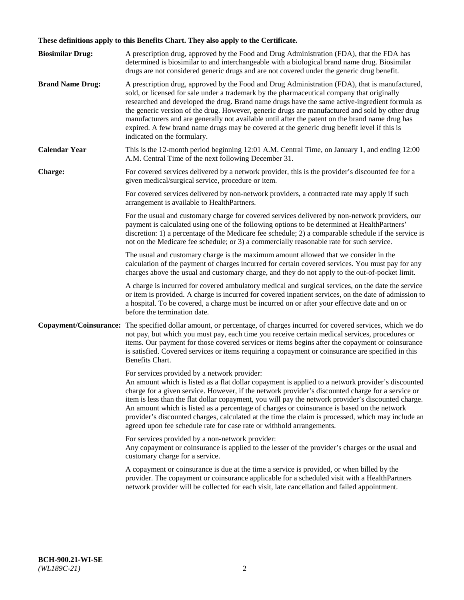# **These definitions apply to this Benefits Chart. They also apply to the Certificate.**

| <b>Biosimilar Drug:</b> | A prescription drug, approved by the Food and Drug Administration (FDA), that the FDA has<br>determined is biosimilar to and interchangeable with a biological brand name drug. Biosimilar<br>drugs are not considered generic drugs and are not covered under the generic drug benefit.                                                                                                                                                                                                                                                                                                                                                     |
|-------------------------|----------------------------------------------------------------------------------------------------------------------------------------------------------------------------------------------------------------------------------------------------------------------------------------------------------------------------------------------------------------------------------------------------------------------------------------------------------------------------------------------------------------------------------------------------------------------------------------------------------------------------------------------|
| <b>Brand Name Drug:</b> | A prescription drug, approved by the Food and Drug Administration (FDA), that is manufactured,<br>sold, or licensed for sale under a trademark by the pharmaceutical company that originally<br>researched and developed the drug. Brand name drugs have the same active-ingredient formula as<br>the generic version of the drug. However, generic drugs are manufactured and sold by other drug<br>manufacturers and are generally not available until after the patent on the brand name drug has<br>expired. A few brand name drugs may be covered at the generic drug benefit level if this is<br>indicated on the formulary.           |
| <b>Calendar Year</b>    | This is the 12-month period beginning 12:01 A.M. Central Time, on January 1, and ending 12:00<br>A.M. Central Time of the next following December 31.                                                                                                                                                                                                                                                                                                                                                                                                                                                                                        |
| <b>Charge:</b>          | For covered services delivered by a network provider, this is the provider's discounted fee for a<br>given medical/surgical service, procedure or item.                                                                                                                                                                                                                                                                                                                                                                                                                                                                                      |
|                         | For covered services delivered by non-network providers, a contracted rate may apply if such<br>arrangement is available to HealthPartners.                                                                                                                                                                                                                                                                                                                                                                                                                                                                                                  |
|                         | For the usual and customary charge for covered services delivered by non-network providers, our<br>payment is calculated using one of the following options to be determined at HealthPartners'<br>discretion: 1) a percentage of the Medicare fee schedule; 2) a comparable schedule if the service is<br>not on the Medicare fee schedule; or 3) a commercially reasonable rate for such service.                                                                                                                                                                                                                                          |
|                         | The usual and customary charge is the maximum amount allowed that we consider in the<br>calculation of the payment of charges incurred for certain covered services. You must pay for any<br>charges above the usual and customary charge, and they do not apply to the out-of-pocket limit.                                                                                                                                                                                                                                                                                                                                                 |
|                         | A charge is incurred for covered ambulatory medical and surgical services, on the date the service<br>or item is provided. A charge is incurred for covered inpatient services, on the date of admission to<br>a hospital. To be covered, a charge must be incurred on or after your effective date and on or<br>before the termination date.                                                                                                                                                                                                                                                                                                |
| Copayment/Coinsurance:  | The specified dollar amount, or percentage, of charges incurred for covered services, which we do<br>not pay, but which you must pay, each time you receive certain medical services, procedures or<br>items. Our payment for those covered services or items begins after the copayment or coinsurance<br>is satisfied. Covered services or items requiring a copayment or coinsurance are specified in this<br>Benefits Chart.                                                                                                                                                                                                             |
|                         | For services provided by a network provider:<br>An amount which is listed as a flat dollar copayment is applied to a network provider's discounted<br>charge for a given service. However, if the network provider's discounted charge for a service or<br>item is less than the flat dollar copayment, you will pay the network provider's discounted charge.<br>An amount which is listed as a percentage of charges or coinsurance is based on the network<br>provider's discounted charges, calculated at the time the claim is processed, which may include an<br>agreed upon fee schedule rate for case rate or withhold arrangements. |
|                         | For services provided by a non-network provider:<br>Any copayment or coinsurance is applied to the lesser of the provider's charges or the usual and<br>customary charge for a service.                                                                                                                                                                                                                                                                                                                                                                                                                                                      |
|                         | A copayment or coinsurance is due at the time a service is provided, or when billed by the<br>provider. The copayment or coinsurance applicable for a scheduled visit with a HealthPartners<br>network provider will be collected for each visit, late cancellation and failed appointment.                                                                                                                                                                                                                                                                                                                                                  |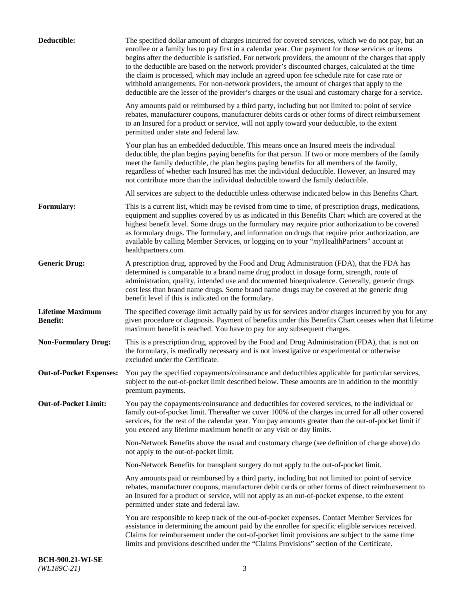| Deductible:                                | The specified dollar amount of charges incurred for covered services, which we do not pay, but an<br>enrollee or a family has to pay first in a calendar year. Our payment for those services or items<br>begins after the deductible is satisfied. For network providers, the amount of the charges that apply<br>to the deductible are based on the network provider's discounted charges, calculated at the time<br>the claim is processed, which may include an agreed upon fee schedule rate for case rate or<br>withhold arrangements. For non-network providers, the amount of charges that apply to the<br>deductible are the lesser of the provider's charges or the usual and customary charge for a service. |
|--------------------------------------------|-------------------------------------------------------------------------------------------------------------------------------------------------------------------------------------------------------------------------------------------------------------------------------------------------------------------------------------------------------------------------------------------------------------------------------------------------------------------------------------------------------------------------------------------------------------------------------------------------------------------------------------------------------------------------------------------------------------------------|
|                                            | Any amounts paid or reimbursed by a third party, including but not limited to: point of service<br>rebates, manufacturer coupons, manufacturer debits cards or other forms of direct reimbursement<br>to an Insured for a product or service, will not apply toward your deductible, to the extent<br>permitted under state and federal law.                                                                                                                                                                                                                                                                                                                                                                            |
|                                            | Your plan has an embedded deductible. This means once an Insured meets the individual<br>deductible, the plan begins paying benefits for that person. If two or more members of the family<br>meet the family deductible, the plan begins paying benefits for all members of the family,<br>regardless of whether each Insured has met the individual deductible. However, an Insured may<br>not contribute more than the individual deductible toward the family deductible.                                                                                                                                                                                                                                           |
|                                            | All services are subject to the deductible unless otherwise indicated below in this Benefits Chart.                                                                                                                                                                                                                                                                                                                                                                                                                                                                                                                                                                                                                     |
| <b>Formulary:</b>                          | This is a current list, which may be revised from time to time, of prescription drugs, medications,<br>equipment and supplies covered by us as indicated in this Benefits Chart which are covered at the<br>highest benefit level. Some drugs on the formulary may require prior authorization to be covered<br>as formulary drugs. The formulary, and information on drugs that require prior authorization, are<br>available by calling Member Services, or logging on to your "myHealthPartners" account at<br>healthpartners.com.                                                                                                                                                                                   |
| <b>Generic Drug:</b>                       | A prescription drug, approved by the Food and Drug Administration (FDA), that the FDA has<br>determined is comparable to a brand name drug product in dosage form, strength, route of<br>administration, quality, intended use and documented bioequivalence. Generally, generic drugs<br>cost less than brand name drugs. Some brand name drugs may be covered at the generic drug<br>benefit level if this is indicated on the formulary.                                                                                                                                                                                                                                                                             |
| <b>Lifetime Maximum</b><br><b>Benefit:</b> | The specified coverage limit actually paid by us for services and/or charges incurred by you for any<br>given procedure or diagnosis. Payment of benefits under this Benefits Chart ceases when that lifetime<br>maximum benefit is reached. You have to pay for any subsequent charges.                                                                                                                                                                                                                                                                                                                                                                                                                                |
| <b>Non-Formulary Drug:</b>                 | This is a prescription drug, approved by the Food and Drug Administration (FDA), that is not on<br>the formulary, is medically necessary and is not investigative or experimental or otherwise<br>excluded under the Certificate.                                                                                                                                                                                                                                                                                                                                                                                                                                                                                       |
|                                            | Out-of-Pocket Expenses: You pay the specified copayments/coinsurance and deductibles applicable for particular services,<br>subject to the out-of-pocket limit described below. These amounts are in addition to the monthly<br>premium payments.                                                                                                                                                                                                                                                                                                                                                                                                                                                                       |
| <b>Out-of-Pocket Limit:</b>                | You pay the copayments/coinsurance and deductibles for covered services, to the individual or<br>family out-of-pocket limit. Thereafter we cover 100% of the charges incurred for all other covered<br>services, for the rest of the calendar year. You pay amounts greater than the out-of-pocket limit if<br>you exceed any lifetime maximum benefit or any visit or day limits.                                                                                                                                                                                                                                                                                                                                      |
|                                            | Non-Network Benefits above the usual and customary charge (see definition of charge above) do<br>not apply to the out-of-pocket limit.                                                                                                                                                                                                                                                                                                                                                                                                                                                                                                                                                                                  |
|                                            | Non-Network Benefits for transplant surgery do not apply to the out-of-pocket limit.                                                                                                                                                                                                                                                                                                                                                                                                                                                                                                                                                                                                                                    |
|                                            | Any amounts paid or reimbursed by a third party, including but not limited to: point of service<br>rebates, manufacturer coupons, manufacturer debit cards or other forms of direct reimbursement to<br>an Insured for a product or service, will not apply as an out-of-pocket expense, to the extent<br>permitted under state and federal law.                                                                                                                                                                                                                                                                                                                                                                        |
|                                            | You are responsible to keep track of the out-of-pocket expenses. Contact Member Services for<br>assistance in determining the amount paid by the enrollee for specific eligible services received.<br>Claims for reimbursement under the out-of-pocket limit provisions are subject to the same time<br>limits and provisions described under the "Claims Provisions" section of the Certificate.                                                                                                                                                                                                                                                                                                                       |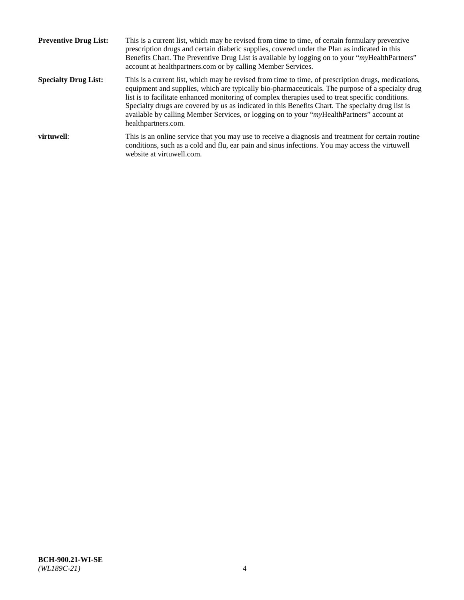| <b>Preventive Drug List:</b> | This is a current list, which may be revised from time to time, of certain formulary preventive<br>prescription drugs and certain diabetic supplies, covered under the Plan as indicated in this<br>Benefits Chart. The Preventive Drug List is available by logging on to your "myHealthPartners"<br>account at healthpartners.com or by calling Member Services.                                                                                                                                                                    |
|------------------------------|---------------------------------------------------------------------------------------------------------------------------------------------------------------------------------------------------------------------------------------------------------------------------------------------------------------------------------------------------------------------------------------------------------------------------------------------------------------------------------------------------------------------------------------|
| <b>Specialty Drug List:</b>  | This is a current list, which may be revised from time to time, of prescription drugs, medications,<br>equipment and supplies, which are typically bio-pharmaceuticals. The purpose of a specialty drug<br>list is to facilitate enhanced monitoring of complex therapies used to treat specific conditions.<br>Specialty drugs are covered by us as indicated in this Benefits Chart. The specialty drug list is<br>available by calling Member Services, or logging on to your "myHealthPartners" account at<br>healthpartners.com. |
| virtuwell:                   | This is an online service that you may use to receive a diagnosis and treatment for certain routine<br>conditions, such as a cold and flu, ear pain and sinus infections. You may access the virtuwell<br>website at virtuwell.com.                                                                                                                                                                                                                                                                                                   |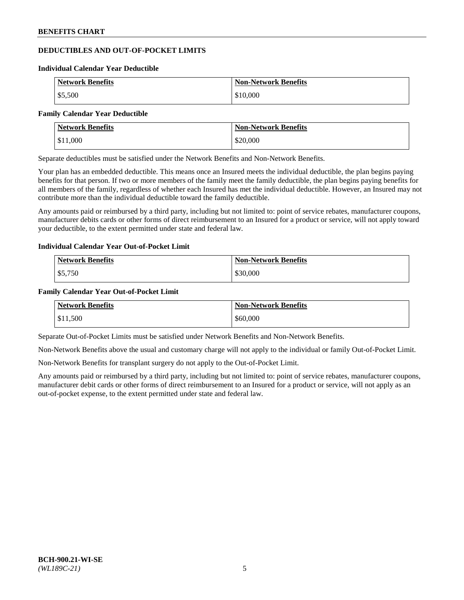# **DEDUCTIBLES AND OUT-OF-POCKET LIMITS**

#### **Individual Calendar Year Deductible**

| <b>Network Benefits</b> | <b>Non-Network Benefits</b> |
|-------------------------|-----------------------------|
| \$5,500                 | \$10,000                    |

#### **Family Calendar Year Deductible**

| Network Benefits | <b>Non-Network Benefits</b> |
|------------------|-----------------------------|
| \$11,000         | \$20,000                    |

Separate deductibles must be satisfied under the Network Benefits and Non-Network Benefits.

Your plan has an embedded deductible. This means once an Insured meets the individual deductible, the plan begins paying benefits for that person. If two or more members of the family meet the family deductible, the plan begins paying benefits for all members of the family, regardless of whether each Insured has met the individual deductible. However, an Insured may not contribute more than the individual deductible toward the family deductible.

Any amounts paid or reimbursed by a third party, including but not limited to: point of service rebates, manufacturer coupons, manufacturer debits cards or other forms of direct reimbursement to an Insured for a product or service, will not apply toward your deductible, to the extent permitted under state and federal law.

## **Individual Calendar Year Out-of-Pocket Limit**

| <b>Network Benefits</b> | <b>Non-Network Benefits</b> |
|-------------------------|-----------------------------|
| \$5,750                 | \$30,000                    |

## **Family Calendar Year Out-of-Pocket Limit**

| <b>Network Benefits</b> | <b>Non-Network Benefits</b> |
|-------------------------|-----------------------------|
| $\vert$ \$11,500        | \$60,000                    |

Separate Out-of-Pocket Limits must be satisfied under Network Benefits and Non-Network Benefits.

Non-Network Benefits above the usual and customary charge will not apply to the individual or family Out-of-Pocket Limit.

Non-Network Benefits for transplant surgery do not apply to the Out-of-Pocket Limit.

Any amounts paid or reimbursed by a third party, including but not limited to: point of service rebates, manufacturer coupons, manufacturer debit cards or other forms of direct reimbursement to an Insured for a product or service, will not apply as an out-of-pocket expense, to the extent permitted under state and federal law.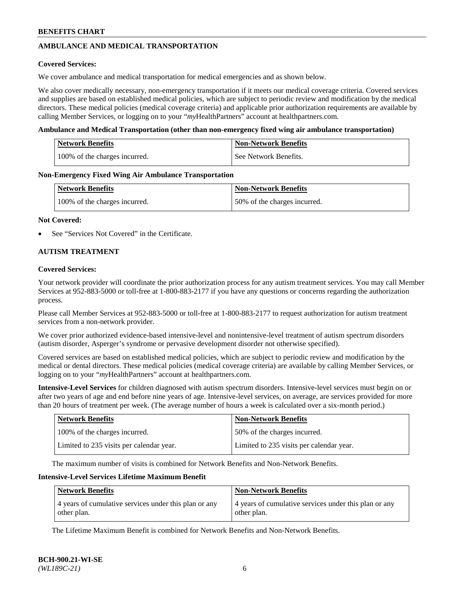# **AMBULANCE AND MEDICAL TRANSPORTATION**

### **Covered Services:**

We cover ambulance and medical transportation for medical emergencies and as shown below.

We also cover medically necessary, non-emergency transportation if it meets our medical coverage criteria. Covered services and supplies are based on established medical policies, which are subject to periodic review and modification by the medical directors. These medical policies (medical coverage criteria) and applicable prior authorization requirements are available by calling Member Services, or logging on to your "*my*HealthPartners" account a[t healthpartners.com.](https://www.healthpartners.com/hp/index.html)

### **Ambulance and Medical Transportation (other than non-emergency fixed wing air ambulance transportation)**

| <b>Network Benefits</b>       | <b>Non-Network Benefits</b> |
|-------------------------------|-----------------------------|
| 100% of the charges incurred. | See Network Benefits.       |

### **Non-Emergency Fixed Wing Air Ambulance Transportation**

| <b>Network Benefits</b>       | <b>Non-Network Benefits</b>  |
|-------------------------------|------------------------------|
| 100% of the charges incurred. | 50% of the charges incurred. |

### **Not Covered:**

See "Services Not Covered" in the Certificate.

## **AUTISM TREATMENT**

### **Covered Services:**

Your network provider will coordinate the prior authorization process for any autism treatment services. You may call Member Services at 952-883-5000 or toll-free at 1-800-883-2177 if you have any questions or concerns regarding the authorization process.

Please call Member Services at 952-883-5000 or toll-free at 1-800-883-2177 to request authorization for autism treatment services from a non-network provider.

We cover prior authorized evidence-based intensive-level and nonintensive-level treatment of autism spectrum disorders (autism disorder, Asperger's syndrome or pervasive development disorder not otherwise specified).

Covered services are based on established medical policies, which are subject to periodic review and modification by the medical or dental directors. These medical policies (medical coverage criteria) are available by calling Member Services, or logging on to your "*my*HealthPartners" account at [healthpartners.com.](https://www.healthpartners.com/hp/index.html)

**Intensive-Level Services** for children diagnosed with autism spectrum disorders. Intensive-level services must begin on or after two years of age and end before nine years of age. Intensive-level services, on average, are services provided for more than 20 hours of treatment per week. (The average number of hours a week is calculated over a six-month period.)

| <b>Network Benefits</b>                  | <b>Non-Network Benefits</b>              |
|------------------------------------------|------------------------------------------|
| 100% of the charges incurred.            | 50% of the charges incurred.             |
| Limited to 235 visits per calendar year. | Limited to 235 visits per calendar year. |

The maximum number of visits is combined for Network Benefits and Non-Network Benefits.

### **Intensive-Level Services Lifetime Maximum Benefit**

| Network Benefits                                                     | <b>Non-Network Benefits</b>                                          |
|----------------------------------------------------------------------|----------------------------------------------------------------------|
| 4 years of cumulative services under this plan or any<br>other plan. | 4 years of cumulative services under this plan or any<br>other plan. |

The Lifetime Maximum Benefit is combined for Network Benefits and Non-Network Benefits.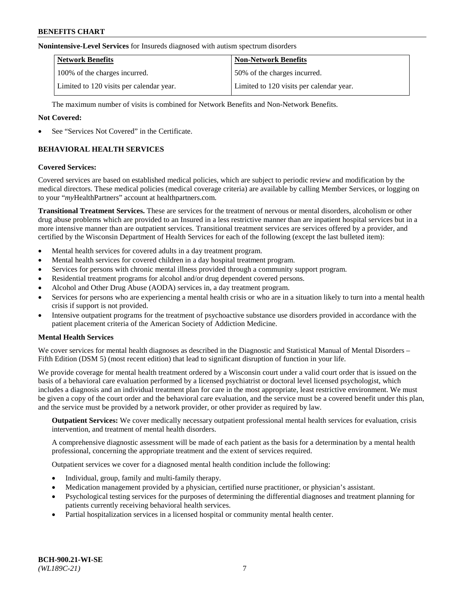#### **Nonintensive-Level Services** for Insureds diagnosed with autism spectrum disorders

| <b>Network Benefits</b>                  | <b>Non-Network Benefits</b>              |
|------------------------------------------|------------------------------------------|
| 100% of the charges incurred.            | 50% of the charges incurred.             |
| Limited to 120 visits per calendar year. | Limited to 120 visits per calendar year. |

The maximum number of visits is combined for Network Benefits and Non-Network Benefits.

### **Not Covered:**

See "Services Not Covered" in the Certificate.

# **BEHAVIORAL HEALTH SERVICES**

### **Covered Services:**

Covered services are based on established medical policies, which are subject to periodic review and modification by the medical directors. These medical policies (medical coverage criteria) are available by calling Member Services, or logging on to your "*my*HealthPartners" account at [healthpartners.com.](https://www.healthpartners.com/hp/index.html)

**Transitional Treatment Services.** These are services for the treatment of nervous or mental disorders, alcoholism or other drug abuse problems which are provided to an Insured in a less restrictive manner than are inpatient hospital services but in a more intensive manner than are outpatient services. Transitional treatment services are services offered by a provider, and certified by the Wisconsin Department of Health Services for each of the following (except the last bulleted item):

- Mental health services for covered adults in a day treatment program.
- Mental health services for covered children in a day hospital treatment program.
- Services for persons with chronic mental illness provided through a community support program.
- Residential treatment programs for alcohol and/or drug dependent covered persons.
- Alcohol and Other Drug Abuse (AODA) services in, a day treatment program.
- Services for persons who are experiencing a mental health crisis or who are in a situation likely to turn into a mental health crisis if support is not provided.
- Intensive outpatient programs for the treatment of psychoactive substance use disorders provided in accordance with the patient placement criteria of the American Society of Addiction Medicine.

## **Mental Health Services**

We cover services for mental health diagnoses as described in the Diagnostic and Statistical Manual of Mental Disorders – Fifth Edition (DSM 5) (most recent edition) that lead to significant disruption of function in your life.

We provide coverage for mental health treatment ordered by a Wisconsin court under a valid court order that is issued on the basis of a behavioral care evaluation performed by a licensed psychiatrist or doctoral level licensed psychologist, which includes a diagnosis and an individual treatment plan for care in the most appropriate, least restrictive environment. We must be given a copy of the court order and the behavioral care evaluation, and the service must be a covered benefit under this plan, and the service must be provided by a network provider, or other provider as required by law.

**Outpatient Services:** We cover medically necessary outpatient professional mental health services for evaluation, crisis intervention, and treatment of mental health disorders.

A comprehensive diagnostic assessment will be made of each patient as the basis for a determination by a mental health professional, concerning the appropriate treatment and the extent of services required.

Outpatient services we cover for a diagnosed mental health condition include the following:

- Individual, group, family and multi-family therapy.
- Medication management provided by a physician, certified nurse practitioner, or physician's assistant.
- Psychological testing services for the purposes of determining the differential diagnoses and treatment planning for patients currently receiving behavioral health services.
- Partial hospitalization services in a licensed hospital or community mental health center.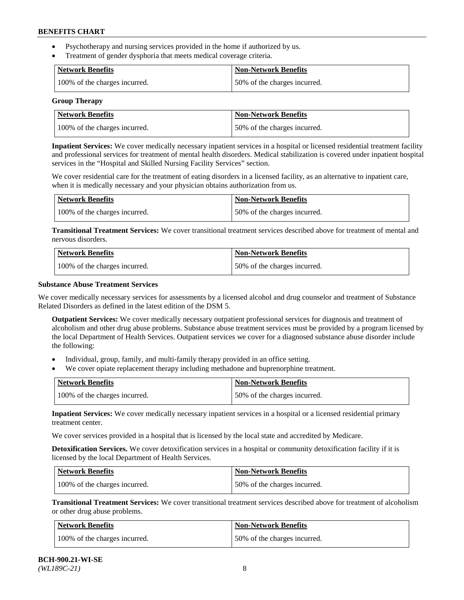- Psychotherapy and nursing services provided in the home if authorized by us.
- Treatment of gender dysphoria that meets medical coverage criteria.

| <b>Network Benefits</b>       | Non-Network Benefits         |
|-------------------------------|------------------------------|
| 100% of the charges incurred. | 50% of the charges incurred. |

#### **Group Therapy**

| Network Benefits              | <b>Non-Network Benefits</b>  |
|-------------------------------|------------------------------|
| 100% of the charges incurred. | 50% of the charges incurred. |

**Inpatient Services:** We cover medically necessary inpatient services in a hospital or licensed residential treatment facility and professional services for treatment of mental health disorders. Medical stabilization is covered under inpatient hospital services in the "Hospital and Skilled Nursing Facility Services" section.

We cover residential care for the treatment of eating disorders in a licensed facility, as an alternative to inpatient care, when it is medically necessary and your physician obtains authorization from us.

| Network Benefits              | <b>Non-Network Benefits</b>  |
|-------------------------------|------------------------------|
| 100% of the charges incurred. | 50% of the charges incurred. |

**Transitional Treatment Services:** We cover transitional treatment services described above for treatment of mental and nervous disorders.

| <b>Network Benefits</b>       | <b>Non-Network Benefits</b>  |
|-------------------------------|------------------------------|
| 100% of the charges incurred. | 50% of the charges incurred. |

### **Substance Abuse Treatment Services**

We cover medically necessary services for assessments by a licensed alcohol and drug counselor and treatment of Substance Related Disorders as defined in the latest edition of the DSM 5.

**Outpatient Services:** We cover medically necessary outpatient professional services for diagnosis and treatment of alcoholism and other drug abuse problems. Substance abuse treatment services must be provided by a program licensed by the local Department of Health Services. Outpatient services we cover for a diagnosed substance abuse disorder include the following:

- Individual, group, family, and multi-family therapy provided in an office setting.
- We cover opiate replacement therapy including methadone and buprenorphine treatment.

| <b>Network Benefits</b>       | <b>Non-Network Benefits</b>  |
|-------------------------------|------------------------------|
| 100% of the charges incurred. | 50% of the charges incurred. |

**Inpatient Services:** We cover medically necessary inpatient services in a hospital or a licensed residential primary treatment center.

We cover services provided in a hospital that is licensed by the local state and accredited by Medicare.

**Detoxification Services.** We cover detoxification services in a hospital or community detoxification facility if it is licensed by the local Department of Health Services.

| Network Benefits              | <b>Non-Network Benefits</b>  |
|-------------------------------|------------------------------|
| 100% of the charges incurred. | 50% of the charges incurred. |

**Transitional Treatment Services:** We cover transitional treatment services described above for treatment of alcoholism or other drug abuse problems.

| Network Benefits              | <b>Non-Network Benefits</b>  |
|-------------------------------|------------------------------|
| 100% of the charges incurred. | 50% of the charges incurred. |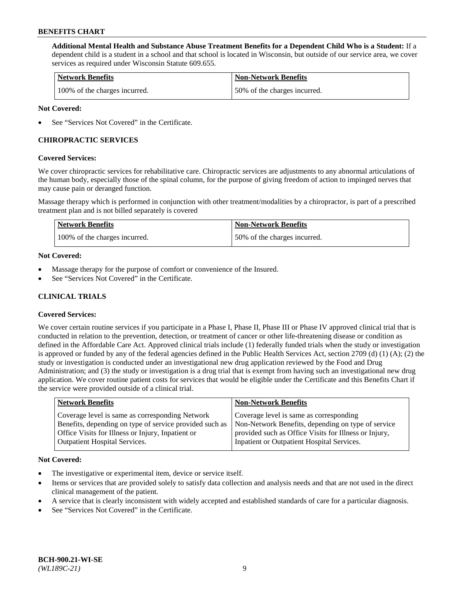**Additional Mental Health and Substance Abuse Treatment Benefits for a Dependent Child Who is a Student:** If a dependent child is a student in a school and that school is located in Wisconsin, but outside of our service area, we cover services as required under Wisconsin Statute 609.655.

| <b>Network Benefits</b>       | <b>Non-Network Benefits</b>  |
|-------------------------------|------------------------------|
| 100% of the charges incurred. | 50% of the charges incurred. |

### **Not Covered:**

See "Services Not Covered" in the Certificate.

# **CHIROPRACTIC SERVICES**

### **Covered Services:**

We cover chiropractic services for rehabilitative care. Chiropractic services are adjustments to any abnormal articulations of the human body, especially those of the spinal column, for the purpose of giving freedom of action to impinged nerves that may cause pain or deranged function.

Massage therapy which is performed in conjunction with other treatment/modalities by a chiropractor, is part of a prescribed treatment plan and is not billed separately is covered

| <b>Network Benefits</b>       | <b>Non-Network Benefits</b>  |
|-------------------------------|------------------------------|
| 100% of the charges incurred. | 50% of the charges incurred. |

### **Not Covered:**

- Massage therapy for the purpose of comfort or convenience of the Insured.
- See "Services Not Covered" in the Certificate.

# **CLINICAL TRIALS**

## **Covered Services:**

We cover certain routine services if you participate in a Phase I, Phase II, Phase III or Phase IV approved clinical trial that is conducted in relation to the prevention, detection, or treatment of cancer or other life-threatening disease or condition as defined in the Affordable Care Act. Approved clinical trials include (1) federally funded trials when the study or investigation is approved or funded by any of the federal agencies defined in the Public Health Services Act, section 2709 (d) (1) (A); (2) the study or investigation is conducted under an investigational new drug application reviewed by the Food and Drug Administration; and (3) the study or investigation is a drug trial that is exempt from having such an investigational new drug application. We cover routine patient costs for services that would be eligible under the Certificate and this Benefits Chart if the service were provided outside of a clinical trial.

| <b>Network Benefits</b>                                                                                                                                                                                 | <b>Non-Network Benefits</b>                                                                                                                                                                          |
|---------------------------------------------------------------------------------------------------------------------------------------------------------------------------------------------------------|------------------------------------------------------------------------------------------------------------------------------------------------------------------------------------------------------|
| Coverage level is same as corresponding Network<br>Benefits, depending on type of service provided such as<br>Office Visits for Illness or Injury, Inpatient or<br><b>Outpatient Hospital Services.</b> | Coverage level is same as corresponding<br>Non-Network Benefits, depending on type of service<br>provided such as Office Visits for Illness or Injury,<br>Inpatient or Outpatient Hospital Services. |
|                                                                                                                                                                                                         |                                                                                                                                                                                                      |

#### **Not Covered:**

- The investigative or experimental item, device or service itself.
- Items or services that are provided solely to satisfy data collection and analysis needs and that are not used in the direct clinical management of the patient.
- A service that is clearly inconsistent with widely accepted and established standards of care for a particular diagnosis.
- See "Services Not Covered" in the Certificate.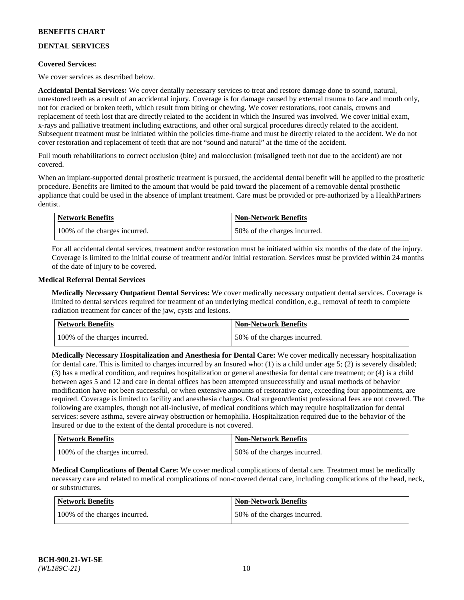# **DENTAL SERVICES**

## **Covered Services:**

We cover services as described below.

**Accidental Dental Services:** We cover dentally necessary services to treat and restore damage done to sound, natural, unrestored teeth as a result of an accidental injury. Coverage is for damage caused by external trauma to face and mouth only, not for cracked or broken teeth, which result from biting or chewing. We cover restorations, root canals, crowns and replacement of teeth lost that are directly related to the accident in which the Insured was involved. We cover initial exam, x-rays and palliative treatment including extractions, and other oral surgical procedures directly related to the accident. Subsequent treatment must be initiated within the policies time-frame and must be directly related to the accident. We do not cover restoration and replacement of teeth that are not "sound and natural" at the time of the accident.

Full mouth rehabilitations to correct occlusion (bite) and malocclusion (misaligned teeth not due to the accident) are not covered.

When an implant-supported dental prosthetic treatment is pursued, the accidental dental benefit will be applied to the prosthetic procedure. Benefits are limited to the amount that would be paid toward the placement of a removable dental prosthetic appliance that could be used in the absence of implant treatment. Care must be provided or pre-authorized by a HealthPartners dentist.

| <b>Network Benefits</b>       | <b>Non-Network Benefits</b>  |
|-------------------------------|------------------------------|
| 100% of the charges incurred. | 50% of the charges incurred. |

For all accidental dental services, treatment and/or restoration must be initiated within six months of the date of the injury. Coverage is limited to the initial course of treatment and/or initial restoration. Services must be provided within 24 months of the date of injury to be covered.

### **Medical Referral Dental Services**

**Medically Necessary Outpatient Dental Services:** We cover medically necessary outpatient dental services. Coverage is limited to dental services required for treatment of an underlying medical condition, e.g., removal of teeth to complete radiation treatment for cancer of the jaw, cysts and lesions.

| <b>Network Benefits</b>       | <b>Non-Network Benefits</b>  |
|-------------------------------|------------------------------|
| 100% of the charges incurred. | 50% of the charges incurred. |

**Medically Necessary Hospitalization and Anesthesia for Dental Care:** We cover medically necessary hospitalization for dental care. This is limited to charges incurred by an Insured who: (1) is a child under age  $5$ ; (2) is severely disabled; (3) has a medical condition, and requires hospitalization or general anesthesia for dental care treatment; or (4) is a child between ages 5 and 12 and care in dental offices has been attempted unsuccessfully and usual methods of behavior modification have not been successful, or when extensive amounts of restorative care, exceeding four appointments, are required. Coverage is limited to facility and anesthesia charges. Oral surgeon/dentist professional fees are not covered. The following are examples, though not all-inclusive, of medical conditions which may require hospitalization for dental services: severe asthma, severe airway obstruction or hemophilia. Hospitalization required due to the behavior of the Insured or due to the extent of the dental procedure is not covered.

| Network Benefits              | <b>Non-Network Benefits</b>  |
|-------------------------------|------------------------------|
| 100% of the charges incurred. | 50% of the charges incurred. |

**Medical Complications of Dental Care:** We cover medical complications of dental care. Treatment must be medically necessary care and related to medical complications of non-covered dental care, including complications of the head, neck, or substructures.

| Network Benefits              | Non-Network Benefits         |
|-------------------------------|------------------------------|
| 100% of the charges incurred. | 50% of the charges incurred. |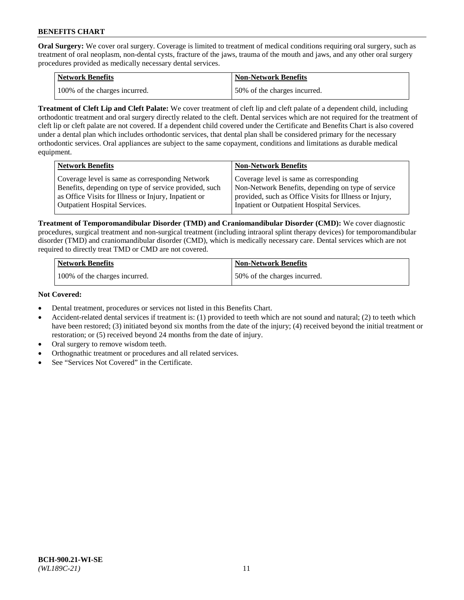**Oral Surgery:** We cover oral surgery. Coverage is limited to treatment of medical conditions requiring oral surgery, such as treatment of oral neoplasm, non-dental cysts, fracture of the jaws, trauma of the mouth and jaws, and any other oral surgery procedures provided as medically necessary dental services.

| <b>Network Benefits</b>       | <b>Non-Network Benefits</b>  |
|-------------------------------|------------------------------|
| 100% of the charges incurred. | 50% of the charges incurred. |

**Treatment of Cleft Lip and Cleft Palate:** We cover treatment of cleft lip and cleft palate of a dependent child, including orthodontic treatment and oral surgery directly related to the cleft. Dental services which are not required for the treatment of cleft lip or cleft palate are not covered. If a dependent child covered under the Certificate and Benefits Chart is also covered under a dental plan which includes orthodontic services, that dental plan shall be considered primary for the necessary orthodontic services. Oral appliances are subject to the same copayment, conditions and limitations as durable medical equipment.

| <b>Network Benefits</b>                               | <b>Non-Network Benefits</b>                            |
|-------------------------------------------------------|--------------------------------------------------------|
| Coverage level is same as corresponding Network       | Coverage level is same as corresponding                |
| Benefits, depending on type of service provided, such | Non-Network Benefits, depending on type of service     |
| as Office Visits for Illness or Injury, Inpatient or  | provided, such as Office Visits for Illness or Injury, |
| Outpatient Hospital Services.                         | Inpatient or Outpatient Hospital Services.             |

**Treatment of Temporomandibular Disorder (TMD) and Craniomandibular Disorder (CMD):** We cover diagnostic procedures, surgical treatment and non-surgical treatment (including intraoral splint therapy devices) for temporomandibular disorder (TMD) and craniomandibular disorder (CMD), which is medically necessary care. Dental services which are not required to directly treat TMD or CMD are not covered.

| <b>Network Benefits</b>       | <b>Non-Network Benefits</b>  |
|-------------------------------|------------------------------|
| 100% of the charges incurred. | 50% of the charges incurred. |

### **Not Covered:**

- Dental treatment, procedures or services not listed in this Benefits Chart.
- Accident-related dental services if treatment is: (1) provided to teeth which are not sound and natural; (2) to teeth which have been restored; (3) initiated beyond six months from the date of the injury; (4) received beyond the initial treatment or restoration; or (5) received beyond 24 months from the date of injury.
- Oral surgery to remove wisdom teeth.
- Orthognathic treatment or procedures and all related services.
- See "Services Not Covered" in the Certificate.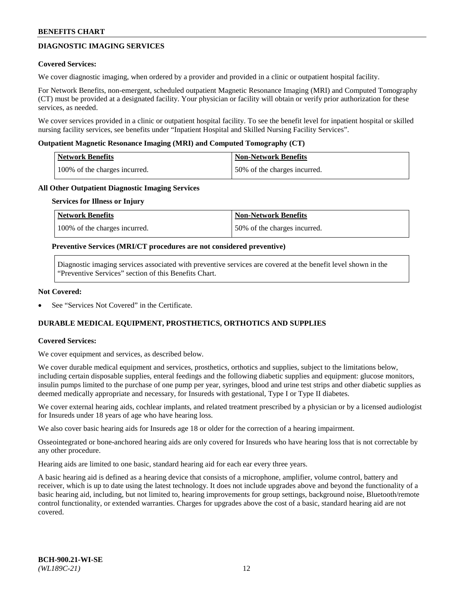# **DIAGNOSTIC IMAGING SERVICES**

### **Covered Services:**

We cover diagnostic imaging, when ordered by a provider and provided in a clinic or outpatient hospital facility.

For Network Benefits, non-emergent, scheduled outpatient Magnetic Resonance Imaging (MRI) and Computed Tomography (CT) must be provided at a designated facility. Your physician or facility will obtain or verify prior authorization for these services, as needed.

We cover services provided in a clinic or outpatient hospital facility. To see the benefit level for inpatient hospital or skilled nursing facility services, see benefits under "Inpatient Hospital and Skilled Nursing Facility Services".

### **Outpatient Magnetic Resonance Imaging (MRI) and Computed Tomography (CT)**

| <b>Network Benefits</b>       | <b>Non-Network Benefits</b>  |
|-------------------------------|------------------------------|
| 100% of the charges incurred. | 50% of the charges incurred. |

### **All Other Outpatient Diagnostic Imaging Services**

#### **Services for Illness or Injury**

| Network Benefits              | <b>Non-Network Benefits</b>  |
|-------------------------------|------------------------------|
| 100% of the charges incurred. | 50% of the charges incurred. |

### **Preventive Services (MRI/CT procedures are not considered preventive)**

Diagnostic imaging services associated with preventive services are covered at the benefit level shown in the "Preventive Services" section of this Benefits Chart.

### **Not Covered:**

See "Services Not Covered" in the Certificate.

# **DURABLE MEDICAL EQUIPMENT, PROSTHETICS, ORTHOTICS AND SUPPLIES**

#### **Covered Services:**

We cover equipment and services, as described below.

We cover durable medical equipment and services, prosthetics, orthotics and supplies, subject to the limitations below, including certain disposable supplies, enteral feedings and the following diabetic supplies and equipment: glucose monitors, insulin pumps limited to the purchase of one pump per year, syringes, blood and urine test strips and other diabetic supplies as deemed medically appropriate and necessary, for Insureds with gestational, Type I or Type II diabetes.

We cover external hearing aids, cochlear implants, and related treatment prescribed by a physician or by a licensed audiologist for Insureds under 18 years of age who have hearing loss.

We also cover basic hearing aids for Insureds age 18 or older for the correction of a hearing impairment.

Osseointegrated or bone-anchored hearing aids are only covered for Insureds who have hearing loss that is not correctable by any other procedure.

Hearing aids are limited to one basic, standard hearing aid for each ear every three years.

A basic hearing aid is defined as a hearing device that consists of a microphone, amplifier, volume control, battery and receiver, which is up to date using the latest technology. It does not include upgrades above and beyond the functionality of a basic hearing aid, including, but not limited to, hearing improvements for group settings, background noise, Bluetooth/remote control functionality, or extended warranties. Charges for upgrades above the cost of a basic, standard hearing aid are not covered.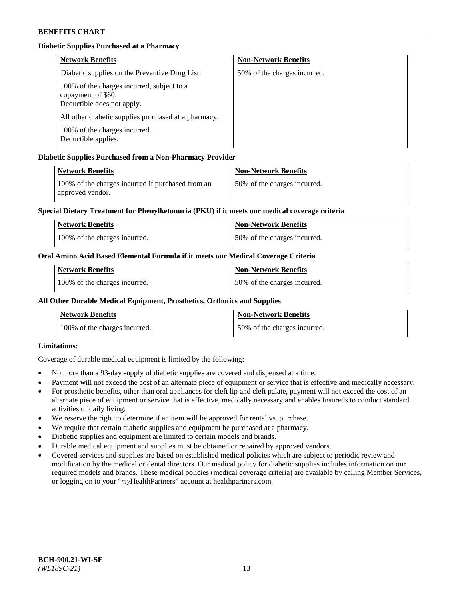# **Diabetic Supplies Purchased at a Pharmacy**

| <b>Network Benefits</b>                                                                        | <b>Non-Network Benefits</b>  |
|------------------------------------------------------------------------------------------------|------------------------------|
| Diabetic supplies on the Preventive Drug List:                                                 | 50% of the charges incurred. |
| 100% of the charges incurred, subject to a<br>copayment of \$60.<br>Deductible does not apply. |                              |
| All other diabetic supplies purchased at a pharmacy:                                           |                              |
| 100% of the charges incurred.<br>Deductible applies.                                           |                              |

# **Diabetic Supplies Purchased from a Non-Pharmacy Provider**

| <b>Network Benefits</b>                                               | <b>Non-Network Benefits</b>  |
|-----------------------------------------------------------------------|------------------------------|
| 100% of the charges incurred if purchased from an<br>approved vendor. | 50% of the charges incurred. |

## **Special Dietary Treatment for Phenylketonuria (PKU) if it meets our medical coverage criteria**

| <b>Network Benefits</b>       | Non-Network Benefits          |
|-------------------------------|-------------------------------|
| 100% of the charges incurred. | 150% of the charges incurred. |

## **Oral Amino Acid Based Elemental Formula if it meets our Medical Coverage Criteria**

| <b>Network Benefits</b>       | <b>Non-Network Benefits</b>  |
|-------------------------------|------------------------------|
| 100% of the charges incurred. | 50% of the charges incurred. |

# **All Other Durable Medical Equipment, Prosthetics, Orthotics and Supplies**

| <b>Network Benefits</b>       | <b>Non-Network Benefits</b>  |
|-------------------------------|------------------------------|
| 100% of the charges incurred. | 50% of the charges incurred. |

## **Limitations:**

Coverage of durable medical equipment is limited by the following:

- No more than a 93-day supply of diabetic supplies are covered and dispensed at a time.
- Payment will not exceed the cost of an alternate piece of equipment or service that is effective and medically necessary.
- For prosthetic benefits, other than oral appliances for cleft lip and cleft palate, payment will not exceed the cost of an alternate piece of equipment or service that is effective, medically necessary and enables Insureds to conduct standard activities of daily living.
- We reserve the right to determine if an item will be approved for rental vs. purchase.
- We require that certain diabetic supplies and equipment be purchased at a pharmacy.
- Diabetic supplies and equipment are limited to certain models and brands.
- Durable medical equipment and supplies must be obtained or repaired by approved vendors.
- Covered services and supplies are based on established medical policies which are subject to periodic review and modification by the medical or dental directors. Our medical policy for diabetic supplies includes information on our required models and brands. These medical policies (medical coverage criteria) are available by calling Member Services, or logging on to your "*my*HealthPartners" account a[t healthpartners.com.](https://www.healthpartners.com/hp/index.html)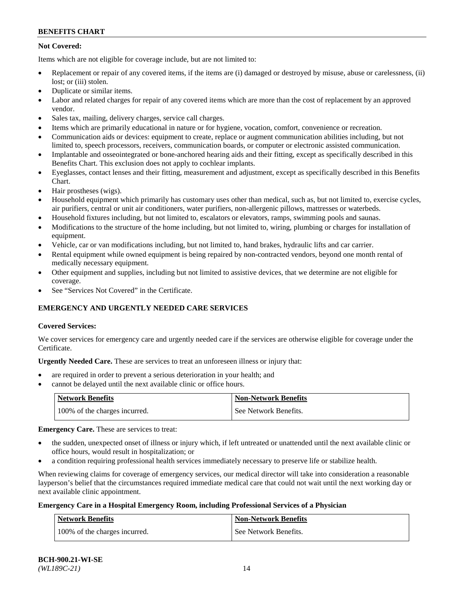# **Not Covered:**

Items which are not eligible for coverage include, but are not limited to:

- Replacement or repair of any covered items, if the items are (i) damaged or destroyed by misuse, abuse or carelessness, (ii) lost; or (iii) stolen.
- Duplicate or similar items.
- Labor and related charges for repair of any covered items which are more than the cost of replacement by an approved vendor.
- Sales tax, mailing, delivery charges, service call charges.
- Items which are primarily educational in nature or for hygiene, vocation, comfort, convenience or recreation.
- Communication aids or devices: equipment to create, replace or augment communication abilities including, but not limited to, speech processors, receivers, communication boards, or computer or electronic assisted communication.
- Implantable and osseointegrated or bone-anchored hearing aids and their fitting, except as specifically described in this Benefits Chart. This exclusion does not apply to cochlear implants.
- Eyeglasses, contact lenses and their fitting, measurement and adjustment, except as specifically described in this Benefits Chart.
- Hair prostheses (wigs).
- Household equipment which primarily has customary uses other than medical, such as, but not limited to, exercise cycles, air purifiers, central or unit air conditioners, water purifiers, non-allergenic pillows, mattresses or waterbeds.
- Household fixtures including, but not limited to, escalators or elevators, ramps, swimming pools and saunas.
- Modifications to the structure of the home including, but not limited to, wiring, plumbing or charges for installation of equipment.
- Vehicle, car or van modifications including, but not limited to, hand brakes, hydraulic lifts and car carrier.
- Rental equipment while owned equipment is being repaired by non-contracted vendors, beyond one month rental of medically necessary equipment.
- Other equipment and supplies, including but not limited to assistive devices, that we determine are not eligible for coverage.
- See "Services Not Covered" in the Certificate.

# **EMERGENCY AND URGENTLY NEEDED CARE SERVICES**

## **Covered Services:**

We cover services for emergency care and urgently needed care if the services are otherwise eligible for coverage under the Certificate.

**Urgently Needed Care.** These are services to treat an unforeseen illness or injury that:

- are required in order to prevent a serious deterioration in your health; and
- cannot be delayed until the next available clinic or office hours.

| <b>Network Benefits</b>       | Non-Network Benefits  |
|-------------------------------|-----------------------|
| 100% of the charges incurred. | See Network Benefits. |

**Emergency Care.** These are services to treat:

- the sudden, unexpected onset of illness or injury which, if left untreated or unattended until the next available clinic or office hours, would result in hospitalization; or
- a condition requiring professional health services immediately necessary to preserve life or stabilize health.

When reviewing claims for coverage of emergency services, our medical director will take into consideration a reasonable layperson's belief that the circumstances required immediate medical care that could not wait until the next working day or next available clinic appointment.

## **Emergency Care in a Hospital Emergency Room, including Professional Services of a Physician**

| <b>Network Benefits</b>       | <b>Non-Network Benefits</b> |
|-------------------------------|-----------------------------|
| 100% of the charges incurred. | See Network Benefits.       |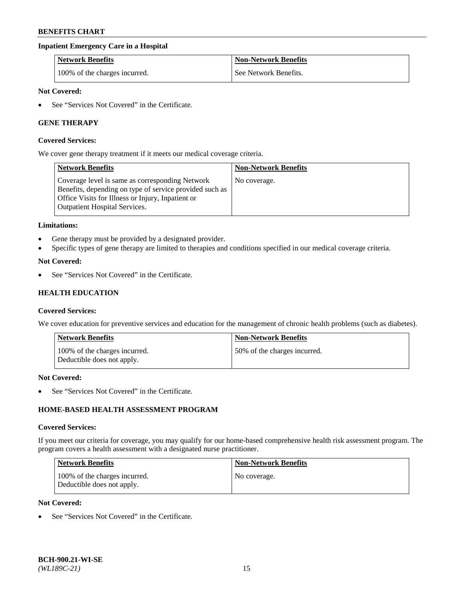## **Inpatient Emergency Care in a Hospital**

| <b>Network Benefits</b>       | <b>Non-Network Benefits</b> |
|-------------------------------|-----------------------------|
| 100% of the charges incurred. | See Network Benefits.       |

### **Not Covered:**

See "Services Not Covered" in the Certificate.

## **GENE THERAPY**

#### **Covered Services:**

We cover gene therapy treatment if it meets our medical coverage criteria.

| <b>Network Benefits</b>                                                                                                                                                                          | <b>Non-Network Benefits</b> |
|--------------------------------------------------------------------------------------------------------------------------------------------------------------------------------------------------|-----------------------------|
| Coverage level is same as corresponding Network<br>Benefits, depending on type of service provided such as<br>Office Visits for Illness or Injury, Inpatient or<br>Outpatient Hospital Services. | No coverage.                |

#### **Limitations:**

- Gene therapy must be provided by a designated provider.
- Specific types of gene therapy are limited to therapies and conditions specified in our medical coverage criteria.

### **Not Covered:**

See "Services Not Covered" in the Certificate.

# **HEALTH EDUCATION**

#### **Covered Services:**

We cover education for preventive services and education for the management of chronic health problems (such as diabetes).

| <b>Network Benefits</b>                                     | <b>Non-Network Benefits</b>  |
|-------------------------------------------------------------|------------------------------|
| 100% of the charges incurred.<br>Deductible does not apply. | 50% of the charges incurred. |

#### **Not Covered:**

See "Services Not Covered" in the Certificate.

# **HOME-BASED HEALTH ASSESSMENT PROGRAM**

#### **Covered Services:**

If you meet our criteria for coverage, you may qualify for our home-based comprehensive health risk assessment program. The program covers a health assessment with a designated nurse practitioner.

| Network Benefits                                            | <b>Non-Network Benefits</b> |
|-------------------------------------------------------------|-----------------------------|
| 100% of the charges incurred.<br>Deductible does not apply. | No coverage.                |

# **Not Covered:**

• See "Services Not Covered" in the Certificate.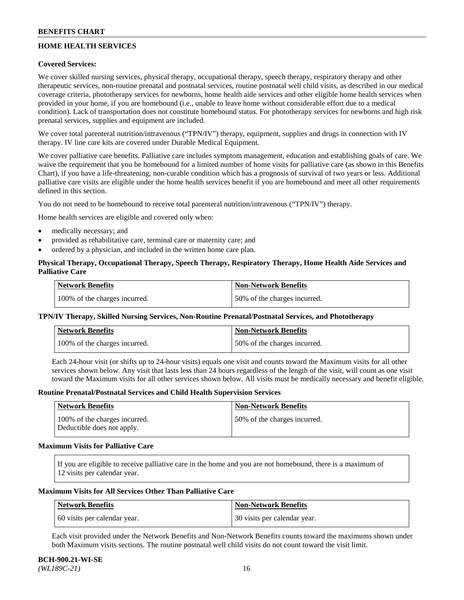# **HOME HEALTH SERVICES**

## **Covered Services:**

We cover skilled nursing services, physical therapy, occupational therapy, speech therapy, respiratory therapy and other therapeutic services, non-routine prenatal and postnatal services, routine postnatal well child visits, as described in our medical coverage criteria, phototherapy services for newborns, home health aide services and other eligible home health services when provided in your home, if you are homebound (i.e., unable to leave home without considerable effort due to a medical condition). Lack of transportation does not constitute homebound status. For phototherapy services for newborns and high risk prenatal services, supplies and equipment are included.

We cover total parenteral nutrition/intravenous ("TPN/IV") therapy, equipment, supplies and drugs in connection with IV therapy. IV line care kits are covered under Durable Medical Equipment.

We cover palliative care benefits. Palliative care includes symptom management, education and establishing goals of care. We waive the requirement that you be homebound for a limited number of home visits for palliative care (as shown in this Benefits Chart), if you have a life-threatening, non-curable condition which has a prognosis of survival of two years or less. Additional palliative care visits are eligible under the home health services benefit if you are homebound and meet all other requirements defined in this section.

You do not need to be homebound to receive total parenteral nutrition/intravenous ("TPN/IV") therapy.

Home health services are eligible and covered only when:

- medically necessary; and
- provided as rehabilitative care, terminal care or maternity care; and
- ordered by a physician, and included in the written home care plan.

# **Physical Therapy, Occupational Therapy, Speech Therapy, Respiratory Therapy, Home Health Aide Services and Palliative Care**

| Network Benefits              | <b>Non-Network Benefits</b>  |
|-------------------------------|------------------------------|
| 100% of the charges incurred. | 50% of the charges incurred. |

## **TPN/IV Therapy, Skilled Nursing Services, Non-Routine Prenatal/Postnatal Services, and Phototherapy**

| Network Benefits              | <b>Non-Network Benefits</b>  |
|-------------------------------|------------------------------|
| 100% of the charges incurred. | 50% of the charges incurred. |

Each 24-hour visit (or shifts up to 24-hour visits) equals one visit and counts toward the Maximum visits for all other services shown below. Any visit that lasts less than 24 hours regardless of the length of the visit, will count as one visit toward the Maximum visits for all other services shown below. All visits must be medically necessary and benefit eligible.

#### **Routine Prenatal/Postnatal Services and Child Health Supervision Services**

| Network Benefits                                            | <b>Non-Network Benefits</b>  |
|-------------------------------------------------------------|------------------------------|
| 100% of the charges incurred.<br>Deductible does not apply. | 50% of the charges incurred. |

### **Maximum Visits for Palliative Care**

If you are eligible to receive palliative care in the home and you are not homebound, there is a maximum of 12 visits per calendar year.

### **Maximum Visits for All Services Other Than Palliative Care**

| Network Benefits             | Non-Network Benefits         |
|------------------------------|------------------------------|
| 60 visits per calendar year. | 30 visits per calendar year. |

Each visit provided under the Network Benefits and Non-Network Benefits counts toward the maximums shown under both Maximum visits sections. The routine postnatal well child visits do not count toward the visit limit.

#### **BCH-900.21-WI-SE**  *(WL189C-21)* 16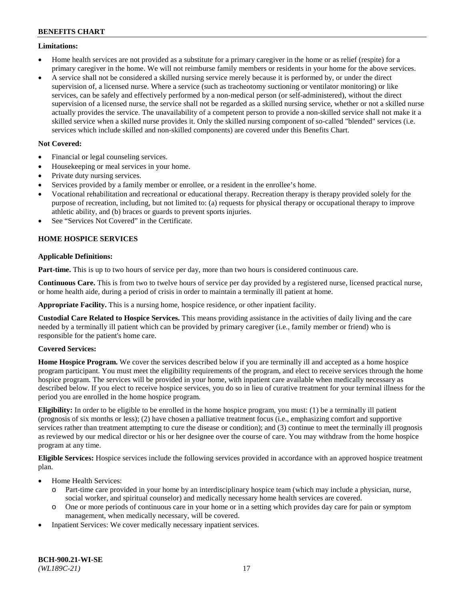### **Limitations:**

- Home health services are not provided as a substitute for a primary caregiver in the home or as relief (respite) for a primary caregiver in the home. We will not reimburse family members or residents in your home for the above services.
- A service shall not be considered a skilled nursing service merely because it is performed by, or under the direct supervision of, a licensed nurse. Where a service (such as tracheotomy suctioning or ventilator monitoring) or like services, can be safely and effectively performed by a non-medical person (or self-administered), without the direct supervision of a licensed nurse, the service shall not be regarded as a skilled nursing service, whether or not a skilled nurse actually provides the service. The unavailability of a competent person to provide a non-skilled service shall not make it a skilled service when a skilled nurse provides it. Only the skilled nursing component of so-called "blended" services (i.e. services which include skilled and non-skilled components) are covered under this Benefits Chart.

# **Not Covered:**

- Financial or legal counseling services.
- Housekeeping or meal services in your home.
- Private duty nursing services.
- Services provided by a family member or enrollee, or a resident in the enrollee's home.
- Vocational rehabilitation and recreational or educational therapy. Recreation therapy is therapy provided solely for the purpose of recreation, including, but not limited to: (a) requests for physical therapy or occupational therapy to improve athletic ability, and (b) braces or guards to prevent sports injuries.
- See "Services Not Covered" in the Certificate.

# **HOME HOSPICE SERVICES**

## **Applicable Definitions:**

**Part-time.** This is up to two hours of service per day, more than two hours is considered continuous care.

**Continuous Care.** This is from two to twelve hours of service per day provided by a registered nurse, licensed practical nurse, or home health aide, during a period of crisis in order to maintain a terminally ill patient at home.

**Appropriate Facility.** This is a nursing home, hospice residence, or other inpatient facility.

**Custodial Care Related to Hospice Services.** This means providing assistance in the activities of daily living and the care needed by a terminally ill patient which can be provided by primary caregiver (i.e., family member or friend) who is responsible for the patient's home care.

## **Covered Services:**

**Home Hospice Program.** We cover the services described below if you are terminally ill and accepted as a home hospice program participant. You must meet the eligibility requirements of the program, and elect to receive services through the home hospice program. The services will be provided in your home, with inpatient care available when medically necessary as described below. If you elect to receive hospice services, you do so in lieu of curative treatment for your terminal illness for the period you are enrolled in the home hospice program.

**Eligibility:** In order to be eligible to be enrolled in the home hospice program, you must: (1) be a terminally ill patient (prognosis of six months or less); (2) have chosen a palliative treatment focus (i.e., emphasizing comfort and supportive services rather than treatment attempting to cure the disease or condition); and (3) continue to meet the terminally ill prognosis as reviewed by our medical director or his or her designee over the course of care. You may withdraw from the home hospice program at any time.

**Eligible Services:** Hospice services include the following services provided in accordance with an approved hospice treatment plan.

- Home Health Services:
	- o Part-time care provided in your home by an interdisciplinary hospice team (which may include a physician, nurse, social worker, and spiritual counselor) and medically necessary home health services are covered.
	- o One or more periods of continuous care in your home or in a setting which provides day care for pain or symptom management, when medically necessary, will be covered.
- Inpatient Services: We cover medically necessary inpatient services.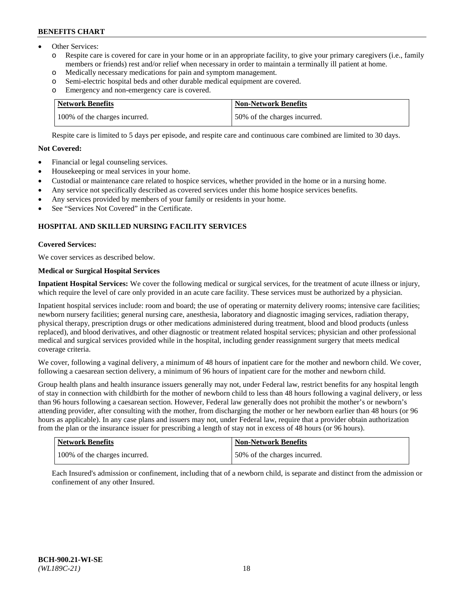- Other Services:
	- Respite care is covered for care in your home or in an appropriate facility, to give your primary caregivers (i.e., family members or friends) rest and/or relief when necessary in order to maintain a terminally ill patient at home.
	- o Medically necessary medications for pain and symptom management.
	- o Semi-electric hospital beds and other durable medical equipment are covered.
	- Emergency and non-emergency care is covered.

| Network Benefits              | <b>Non-Network Benefits</b>  |
|-------------------------------|------------------------------|
| 100% of the charges incurred. | 50% of the charges incurred. |

Respite care is limited to 5 days per episode, and respite care and continuous care combined are limited to 30 days.

# **Not Covered:**

- Financial or legal counseling services.
- Housekeeping or meal services in your home.
- Custodial or maintenance care related to hospice services, whether provided in the home or in a nursing home.
- Any service not specifically described as covered services under this home hospice services benefits.
- Any services provided by members of your family or residents in your home.
- See "Services Not Covered" in the Certificate.

# **HOSPITAL AND SKILLED NURSING FACILITY SERVICES**

### **Covered Services:**

We cover services as described below.

# **Medical or Surgical Hospital Services**

**Inpatient Hospital Services:** We cover the following medical or surgical services, for the treatment of acute illness or injury, which require the level of care only provided in an acute care facility. These services must be authorized by a physician.

Inpatient hospital services include: room and board; the use of operating or maternity delivery rooms; intensive care facilities; newborn nursery facilities; general nursing care, anesthesia, laboratory and diagnostic imaging services, radiation therapy, physical therapy, prescription drugs or other medications administered during treatment, blood and blood products (unless replaced), and blood derivatives, and other diagnostic or treatment related hospital services; physician and other professional medical and surgical services provided while in the hospital, including gender reassignment surgery that meets medical coverage criteria.

We cover, following a vaginal delivery, a minimum of 48 hours of inpatient care for the mother and newborn child. We cover, following a caesarean section delivery, a minimum of 96 hours of inpatient care for the mother and newborn child.

Group health plans and health insurance issuers generally may not, under Federal law, restrict benefits for any hospital length of stay in connection with childbirth for the mother of newborn child to less than 48 hours following a vaginal delivery, or less than 96 hours following a caesarean section. However, Federal law generally does not prohibit the mother's or newborn's attending provider, after consulting with the mother, from discharging the mother or her newborn earlier than 48 hours (or 96 hours as applicable). In any case plans and issuers may not, under Federal law, require that a provider obtain authorization from the plan or the insurance issuer for prescribing a length of stay not in excess of 48 hours (or 96 hours).

| Network Benefits              | Non-Network Benefits         |
|-------------------------------|------------------------------|
| 100% of the charges incurred. | 50% of the charges incurred. |

Each Insured's admission or confinement, including that of a newborn child, is separate and distinct from the admission or confinement of any other Insured.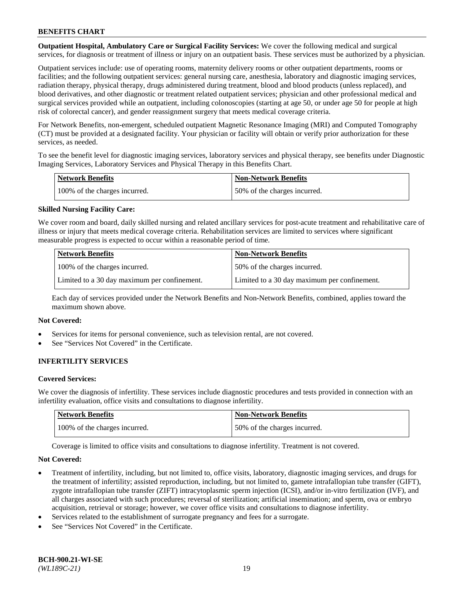**Outpatient Hospital, Ambulatory Care or Surgical Facility Services:** We cover the following medical and surgical services, for diagnosis or treatment of illness or injury on an outpatient basis. These services must be authorized by a physician.

Outpatient services include: use of operating rooms, maternity delivery rooms or other outpatient departments, rooms or facilities; and the following outpatient services: general nursing care, anesthesia, laboratory and diagnostic imaging services, radiation therapy, physical therapy, drugs administered during treatment, blood and blood products (unless replaced), and blood derivatives, and other diagnostic or treatment related outpatient services; physician and other professional medical and surgical services provided while an outpatient, including colonoscopies (starting at age 50, or under age 50 for people at high risk of colorectal cancer), and gender reassignment surgery that meets medical coverage criteria.

For Network Benefits, non-emergent, scheduled outpatient Magnetic Resonance Imaging (MRI) and Computed Tomography (CT) must be provided at a designated facility. Your physician or facility will obtain or verify prior authorization for these services, as needed.

To see the benefit level for diagnostic imaging services, laboratory services and physical therapy, see benefits under Diagnostic Imaging Services, Laboratory Services and Physical Therapy in this Benefits Chart.

| <b>Network Benefits</b>       | <b>Non-Network Benefits</b>  |
|-------------------------------|------------------------------|
| 100% of the charges incurred. | 50% of the charges incurred. |

## **Skilled Nursing Facility Care:**

We cover room and board, daily skilled nursing and related ancillary services for post-acute treatment and rehabilitative care of illness or injury that meets medical coverage criteria. Rehabilitation services are limited to services where significant measurable progress is expected to occur within a reasonable period of time.

| <b>Network Benefits</b>                      | <b>Non-Network Benefits</b>                  |
|----------------------------------------------|----------------------------------------------|
| 100% of the charges incurred.                | 150% of the charges incurred.                |
| Limited to a 30 day maximum per confinement. | Limited to a 30 day maximum per confinement. |

Each day of services provided under the Network Benefits and Non-Network Benefits, combined, applies toward the maximum shown above.

#### **Not Covered:**

- Services for items for personal convenience, such as television rental, are not covered.
- See "Services Not Covered" in the Certificate.

## **INFERTILITY SERVICES**

#### **Covered Services:**

We cover the diagnosis of infertility. These services include diagnostic procedures and tests provided in connection with an infertility evaluation, office visits and consultations to diagnose infertility.

| <b>Network Benefits</b>       | <b>Non-Network Benefits</b>  |
|-------------------------------|------------------------------|
| 100% of the charges incurred. | 50% of the charges incurred. |

Coverage is limited to office visits and consultations to diagnose infertility. Treatment is not covered.

#### **Not Covered:**

- Treatment of infertility, including, but not limited to, office visits, laboratory, diagnostic imaging services, and drugs for the treatment of infertility; assisted reproduction, including, but not limited to, gamete intrafallopian tube transfer (GIFT), zygote intrafallopian tube transfer (ZIFT) intracytoplasmic sperm injection (ICSI), and/or in-vitro fertilization (IVF), and all charges associated with such procedures; reversal of sterilization; artificial insemination; and sperm, ova or embryo acquisition, retrieval or storage; however, we cover office visits and consultations to diagnose infertility.
- Services related to the establishment of surrogate pregnancy and fees for a surrogate.
- See "Services Not Covered" in the Certificate.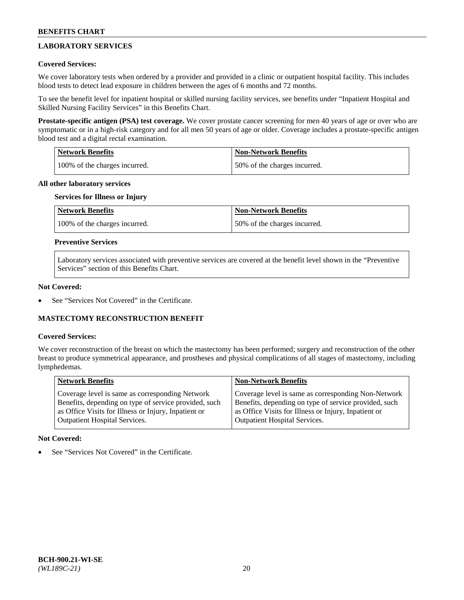# **LABORATORY SERVICES**

## **Covered Services:**

We cover laboratory tests when ordered by a provider and provided in a clinic or outpatient hospital facility. This includes blood tests to detect lead exposure in children between the ages of 6 months and 72 months.

To see the benefit level for inpatient hospital or skilled nursing facility services, see benefits under "Inpatient Hospital and Skilled Nursing Facility Services" in this Benefits Chart.

**Prostate-specific antigen (PSA) test coverage.** We cover prostate cancer screening for men 40 years of age or over who are symptomatic or in a high-risk category and for all men 50 years of age or older. Coverage includes a prostate-specific antigen blood test and a digital rectal examination.

| Network Benefits              | <b>Non-Network Benefits</b>  |
|-------------------------------|------------------------------|
| 100% of the charges incurred. | 50% of the charges incurred. |

### **All other laboratory services**

# **Services for Illness or Injury**

| <b>Network Benefits</b>       | <b>Non-Network Benefits</b>  |
|-------------------------------|------------------------------|
| 100% of the charges incurred. | 50% of the charges incurred. |

### **Preventive Services**

Laboratory services associated with preventive services are covered at the benefit level shown in the "Preventive Services" section of this Benefits Chart.

### **Not Covered:**

See "Services Not Covered" in the Certificate.

## **MASTECTOMY RECONSTRUCTION BENEFIT**

#### **Covered Services:**

We cover reconstruction of the breast on which the mastectomy has been performed; surgery and reconstruction of the other breast to produce symmetrical appearance, and prostheses and physical complications of all stages of mastectomy, including lymphedemas.

| <b>Network Benefits</b>                               | <b>Non-Network Benefits</b>                           |
|-------------------------------------------------------|-------------------------------------------------------|
| Coverage level is same as corresponding Network       | Coverage level is same as corresponding Non-Network   |
| Benefits, depending on type of service provided, such | Benefits, depending on type of service provided, such |
| as Office Visits for Illness or Injury, Inpatient or  | as Office Visits for Illness or Injury, Inpatient or  |
| Outpatient Hospital Services.                         | Outpatient Hospital Services.                         |

## **Not Covered:**

See "Services Not Covered" in the Certificate.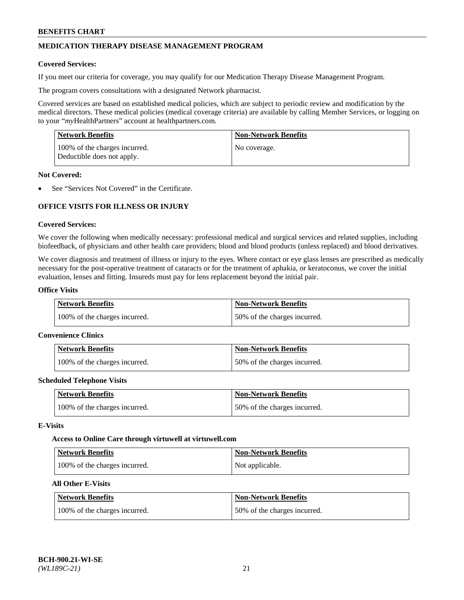# **MEDICATION THERAPY DISEASE MANAGEMENT PROGRAM**

### **Covered Services:**

If you meet our criteria for coverage, you may qualify for our Medication Therapy Disease Management Program.

The program covers consultations with a designated Network pharmacist.

Covered services are based on established medical policies, which are subject to periodic review and modification by the medical directors. These medical policies (medical coverage criteria) are available by calling Member Services, or logging on to your "*my*HealthPartners" account at [healthpartners.com.](http://www.healthpartners.com/)

| Network Benefits                                            | <b>Non-Network Benefits</b> |
|-------------------------------------------------------------|-----------------------------|
| 100% of the charges incurred.<br>Deductible does not apply. | No coverage.                |

### **Not Covered:**

See "Services Not Covered" in the Certificate.

# **OFFICE VISITS FOR ILLNESS OR INJURY**

### **Covered Services:**

We cover the following when medically necessary: professional medical and surgical services and related supplies, including biofeedback, of physicians and other health care providers; blood and blood products (unless replaced) and blood derivatives.

We cover diagnosis and treatment of illness or injury to the eyes. Where contact or eye glass lenses are prescribed as medically necessary for the post-operative treatment of cataracts or for the treatment of aphakia, or keratoconus, we cover the initial evaluation, lenses and fitting. Insureds must pay for lens replacement beyond the initial pair.

# **Office Visits**

| Network Benefits              | <b>Non-Network Benefits</b>  |
|-------------------------------|------------------------------|
| 100% of the charges incurred. | 50% of the charges incurred. |

#### **Convenience Clinics**

| Network Benefits              | <b>Non-Network Benefits</b>  |
|-------------------------------|------------------------------|
| 100% of the charges incurred. | 50% of the charges incurred. |

#### **Scheduled Telephone Visits**

| <b>Network Benefits</b>       | Non-Network Benefits         |
|-------------------------------|------------------------------|
| 100% of the charges incurred. | 50% of the charges incurred. |

#### **E-Visits**

#### **Access to Online Care through virtuwell a[t virtuwell.com](https://www.virtuwell.com/)**

| <b>Network Benefits</b>       | <b>Non-Network Benefits</b> |
|-------------------------------|-----------------------------|
| 100% of the charges incurred. | Not applicable.             |

# **All Other E-Visits**

| <b>Network Benefits</b>       | <b>Non-Network Benefits</b>  |
|-------------------------------|------------------------------|
| 100% of the charges incurred. | 50% of the charges incurred. |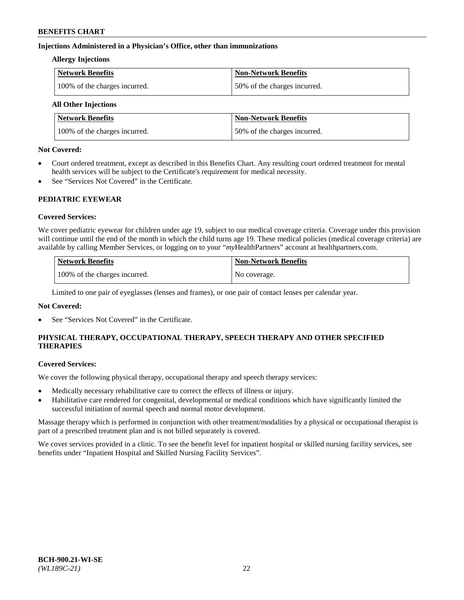## **Injections Administered in a Physician's Office, other than immunizations**

### **Allergy Injections**

| Network Benefits              | <b>Non-Network Benefits</b>  |
|-------------------------------|------------------------------|
| 100% of the charges incurred. | 50% of the charges incurred. |

# **All Other Injections**

| <b>Network Benefits</b>       | <b>Non-Network Benefits</b>  |
|-------------------------------|------------------------------|
| 100% of the charges incurred. | 50% of the charges incurred. |

### **Not Covered:**

- Court ordered treatment, except as described in this Benefits Chart. Any resulting court ordered treatment for mental health services will be subject to the Certificate's requirement for medical necessity.
- See "Services Not Covered" in the Certificate.

## **PEDIATRIC EYEWEAR**

## **Covered Services:**

We cover pediatric eyewear for children under age 19, subject to our medical coverage criteria. Coverage under this provision will continue until the end of the month in which the child turns age 19. These medical policies (medical coverage criteria) are available by calling Member Services, or logging on to your "*my*HealthPartners" account a[t healthpartners.com.](https://www.healthpartners.com/hp/index.html)

| Network Benefits              | <b>Non-Network Benefits</b> |
|-------------------------------|-----------------------------|
| 100% of the charges incurred. | No coverage.                |

Limited to one pair of eyeglasses (lenses and frames), or one pair of contact lenses per calendar year.

## **Not Covered:**

See "Services Not Covered" in the Certificate.

# **PHYSICAL THERAPY, OCCUPATIONAL THERAPY, SPEECH THERAPY AND OTHER SPECIFIED THERAPIES**

#### **Covered Services:**

We cover the following physical therapy, occupational therapy and speech therapy services:

- Medically necessary rehabilitative care to correct the effects of illness or injury.
- Habilitative care rendered for congenital, developmental or medical conditions which have significantly limited the successful initiation of normal speech and normal motor development.

Massage therapy which is performed in conjunction with other treatment/modalities by a physical or occupational therapist is part of a prescribed treatment plan and is not billed separately is covered.

We cover services provided in a clinic. To see the benefit level for inpatient hospital or skilled nursing facility services, see benefits under "Inpatient Hospital and Skilled Nursing Facility Services".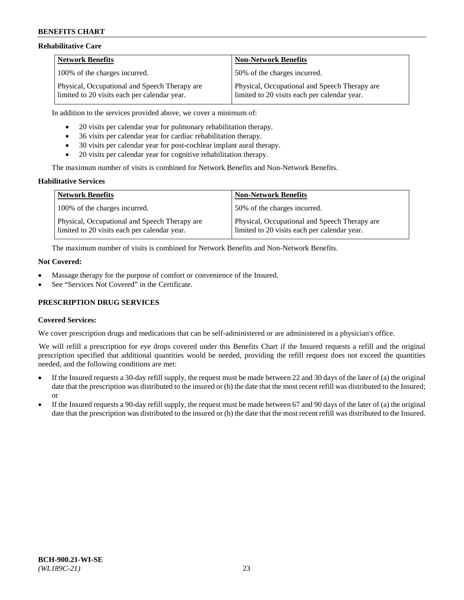### **Rehabilitative Care**

| <b>Network Benefits</b>                                                                       | <b>Non-Network Benefits</b>                                                                   |
|-----------------------------------------------------------------------------------------------|-----------------------------------------------------------------------------------------------|
| 100% of the charges incurred.                                                                 | 150% of the charges incurred.                                                                 |
| Physical, Occupational and Speech Therapy are<br>limited to 20 visits each per calendar year. | Physical, Occupational and Speech Therapy are<br>limited to 20 visits each per calendar year. |

In addition to the services provided above, we cover a minimum of:

- 20 visits per calendar year for pulmonary rehabilitation therapy.
- 36 visits per calendar year for cardiac rehabilitation therapy.
- 30 visits per calendar year for post-cochlear implant aural therapy.
- 20 visits per calendar year for cognitive rehabilitation therapy.

The maximum number of visits is combined for Network Benefits and Non-Network Benefits.

### **Habilitative Services**

| <b>Network Benefits</b>                                                                       | <b>Non-Network Benefits</b>                                                                   |
|-----------------------------------------------------------------------------------------------|-----------------------------------------------------------------------------------------------|
| 100% of the charges incurred.                                                                 | 50% of the charges incurred.                                                                  |
| Physical, Occupational and Speech Therapy are<br>limited to 20 visits each per calendar year. | Physical, Occupational and Speech Therapy are<br>limited to 20 visits each per calendar year. |

The maximum number of visits is combined for Network Benefits and Non-Network Benefits.

#### **Not Covered:**

- Massage therapy for the purpose of comfort or convenience of the Insured.
- See "Services Not Covered" in the Certificate.

## **PRESCRIPTION DRUG SERVICES**

## **Covered Services:**

We cover prescription drugs and medications that can be self-administered or are administered in a physician's office.

We will refill a prescription for eye drops covered under this Benefits Chart if the Insured requests a refill and the original prescription specified that additional quantities would be needed, providing the refill request does not exceed the quantities needed, and the following conditions are met:

- If the Insured requests a 30-day refill supply, the request must be made between 22 and 30 days of the later of (a) the original date that the prescription was distributed to the insured or (b) the date that the most recent refill was distributed to the Insured; or
- If the Insured requests a 90-day refill supply, the request must be made between 67 and 90 days of the later of (a) the original date that the prescription was distributed to the insured or (b) the date that the most recent refill was distributed to the Insured.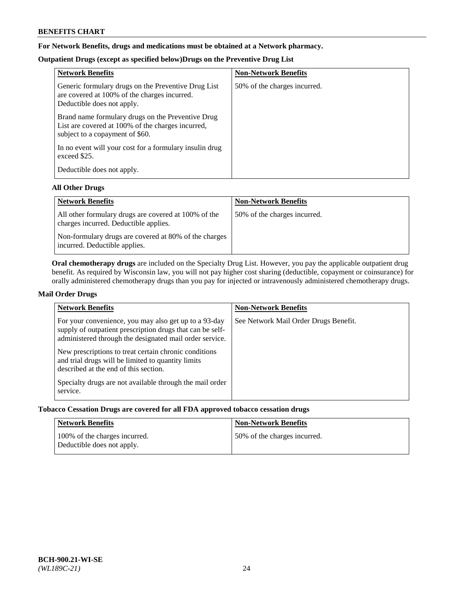# **For Network Benefits, drugs and medications must be obtained at a Network pharmacy.**

# **Outpatient Drugs (except as specified below)Drugs on the Preventive Drug List**

| <b>Network Benefits</b>                                                                                                                   | <b>Non-Network Benefits</b>  |
|-------------------------------------------------------------------------------------------------------------------------------------------|------------------------------|
| Generic formulary drugs on the Preventive Drug List<br>are covered at 100% of the charges incurred.<br>Deductible does not apply.         | 50% of the charges incurred. |
| Brand name formulary drugs on the Preventive Drug<br>List are covered at 100% of the charges incurred,<br>subject to a copayment of \$60. |                              |
| In no event will your cost for a formulary insulin drug<br>exceed \$25.                                                                   |                              |
| Deductible does not apply.                                                                                                                |                              |

## **All Other Drugs**

| <b>Network Benefits</b>                                                                       | <b>Non-Network Benefits</b>  |
|-----------------------------------------------------------------------------------------------|------------------------------|
| All other formulary drugs are covered at 100% of the<br>charges incurred. Deductible applies. | 50% of the charges incurred. |
| Non-formulary drugs are covered at 80% of the charges<br>incurred. Deductible applies.        |                              |

**Oral chemotherapy drugs** are included on the Specialty Drug List. However, you pay the applicable outpatient drug benefit. As required by Wisconsin law, you will not pay higher cost sharing (deductible, copayment or coinsurance) for orally administered chemotherapy drugs than you pay for injected or intravenously administered chemotherapy drugs.

## **Mail Order Drugs**

| <b>Network Benefits</b>                                                                                                                                                                                                                                                                                                                                                                                       | <b>Non-Network Benefits</b>           |
|---------------------------------------------------------------------------------------------------------------------------------------------------------------------------------------------------------------------------------------------------------------------------------------------------------------------------------------------------------------------------------------------------------------|---------------------------------------|
| For your convenience, you may also get up to a 93-day<br>supply of outpatient prescription drugs that can be self-<br>administered through the designated mail order service.<br>New prescriptions to treat certain chronic conditions<br>and trial drugs will be limited to quantity limits<br>described at the end of this section.<br>Specialty drugs are not available through the mail order<br>service. | See Network Mail Order Drugs Benefit. |

# **Tobacco Cessation Drugs are covered for all FDA approved tobacco cessation drugs**

| Network Benefits                                            | <b>Non-Network Benefits</b>  |
|-------------------------------------------------------------|------------------------------|
| 100% of the charges incurred.<br>Deductible does not apply. | 50% of the charges incurred. |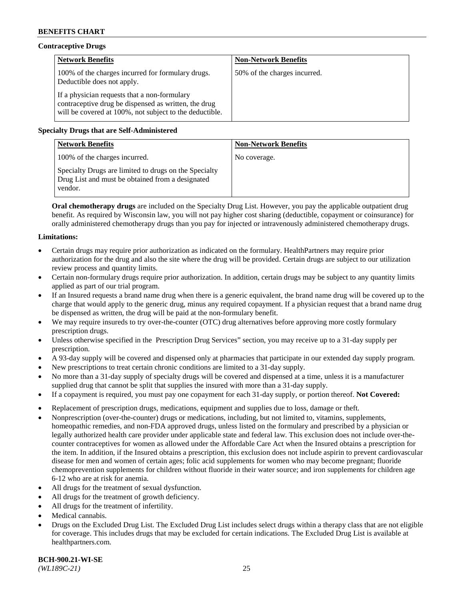# **Contraceptive Drugs**

| <b>Network Benefits</b>                                                                                                                                         | <b>Non-Network Benefits</b>  |
|-----------------------------------------------------------------------------------------------------------------------------------------------------------------|------------------------------|
| 100% of the charges incurred for formulary drugs.<br>Deductible does not apply.                                                                                 | 50% of the charges incurred. |
| If a physician requests that a non-formulary<br>contraceptive drug be dispensed as written, the drug<br>will be covered at 100%, not subject to the deductible. |                              |

# **Specialty Drugs that are Self-Administered**

| <b>Network Benefits</b>                                                                                              | <b>Non-Network Benefits</b> |
|----------------------------------------------------------------------------------------------------------------------|-----------------------------|
| 100% of the charges incurred.                                                                                        | No coverage.                |
| Specialty Drugs are limited to drugs on the Specialty<br>Drug List and must be obtained from a designated<br>vendor. |                             |

**Oral chemotherapy drugs** are included on the Specialty Drug List. However, you pay the applicable outpatient drug benefit. As required by Wisconsin law, you will not pay higher cost sharing (deductible, copayment or coinsurance) for orally administered chemotherapy drugs than you pay for injected or intravenously administered chemotherapy drugs.

## **Limitations:**

- Certain drugs may require prior authorization as indicated on the formulary. HealthPartners may require prior authorization for the drug and also the site where the drug will be provided. Certain drugs are subject to our utilization review process and quantity limits.
- Certain non-formulary drugs require prior authorization. In addition, certain drugs may be subject to any quantity limits applied as part of our trial program.
- If an Insured requests a brand name drug when there is a generic equivalent, the brand name drug will be covered up to the charge that would apply to the generic drug, minus any required copayment. If a physician request that a brand name drug be dispensed as written, the drug will be paid at the non-formulary benefit.
- We may require insureds to try over-the-counter (OTC) drug alternatives before approving more costly formulary prescription drugs.
- Unless otherwise specified in the Prescription Drug Services" section, you may receive up to a 31-day supply per prescription.
- A 93-day supply will be covered and dispensed only at pharmacies that participate in our extended day supply program.
- New prescriptions to treat certain chronic conditions are limited to a 31-day supply.
- No more than a 31-day supply of specialty drugs will be covered and dispensed at a time, unless it is a manufacturer supplied drug that cannot be split that supplies the insured with more than a 31-day supply.
- If a copayment is required, you must pay one copayment for each 31-day supply, or portion thereof. **Not Covered:**
- Replacement of prescription drugs, medications, equipment and supplies due to loss, damage or theft.
- Nonprescription (over-the-counter) drugs or medications, including, but not limited to, vitamins, supplements, homeopathic remedies, and non-FDA approved drugs, unless listed on the formulary and prescribed by a physician or legally authorized health care provider under applicable state and federal law. This exclusion does not include over-thecounter contraceptives for women as allowed under the Affordable Care Act when the Insured obtains a prescription for the item. In addition, if the Insured obtains a prescription, this exclusion does not include aspirin to prevent cardiovascular disease for men and women of certain ages; folic acid supplements for women who may become pregnant; fluoride chemoprevention supplements for children without fluoride in their water source; and iron supplements for children age 6-12 who are at risk for anemia.
- All drugs for the treatment of sexual dysfunction.
- All drugs for the treatment of growth deficiency.
- All drugs for the treatment of infertility.
- Medical cannabis.
- Drugs on the Excluded Drug List. The Excluded Drug List includes select drugs within a therapy class that are not eligible for coverage. This includes drugs that may be excluded for certain indications. The Excluded Drug List is available at [healthpartners.com.](http://www.healthpartners.com/)

**BCH-900.21-WI-SE**  *(WL189C-21)* 25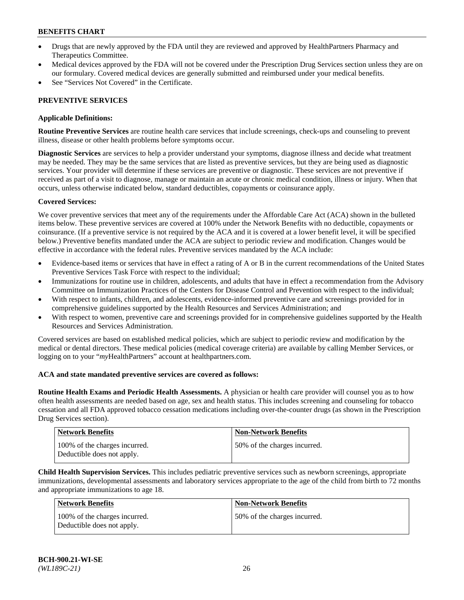- Drugs that are newly approved by the FDA until they are reviewed and approved by HealthPartners Pharmacy and Therapeutics Committee.
- Medical devices approved by the FDA will not be covered under the Prescription Drug Services section unless they are on our formulary. Covered medical devices are generally submitted and reimbursed under your medical benefits.
- See "Services Not Covered" in the Certificate.

## **PREVENTIVE SERVICES**

### **Applicable Definitions:**

**Routine Preventive Services** are routine health care services that include screenings, check-ups and counseling to prevent illness, disease or other health problems before symptoms occur.

**Diagnostic Services** are services to help a provider understand your symptoms, diagnose illness and decide what treatment may be needed. They may be the same services that are listed as preventive services, but they are being used as diagnostic services. Your provider will determine if these services are preventive or diagnostic. These services are not preventive if received as part of a visit to diagnose, manage or maintain an acute or chronic medical condition, illness or injury. When that occurs, unless otherwise indicated below, standard deductibles, copayments or coinsurance apply.

### **Covered Services:**

We cover preventive services that meet any of the requirements under the Affordable Care Act (ACA) shown in the bulleted items below. These preventive services are covered at 100% under the Network Benefits with no deductible, copayments or coinsurance. (If a preventive service is not required by the ACA and it is covered at a lower benefit level, it will be specified below.) Preventive benefits mandated under the ACA are subject to periodic review and modification. Changes would be effective in accordance with the federal rules. Preventive services mandated by the ACA include:

- Evidence-based items or services that have in effect a rating of A or B in the current recommendations of the United States Preventive Services Task Force with respect to the individual;
- Immunizations for routine use in children, adolescents, and adults that have in effect a recommendation from the Advisory Committee on Immunization Practices of the Centers for Disease Control and Prevention with respect to the individual;
- With respect to infants, children, and adolescents, evidence-informed preventive care and screenings provided for in comprehensive guidelines supported by the Health Resources and Services Administration; and
- With respect to women, preventive care and screenings provided for in comprehensive guidelines supported by the Health Resources and Services Administration.

Covered services are based on established medical policies, which are subject to periodic review and modification by the medical or dental directors. These medical policies (medical coverage criteria) are available by calling Member Services, or logging on to your "*my*HealthPartners" account at [healthpartners.com.](https://www.healthpartners.com/hp/index.html)

#### **ACA and state mandated preventive services are covered as follows:**

**Routine Health Exams and Periodic Health Assessments.** A physician or health care provider will counsel you as to how often health assessments are needed based on age, sex and health status. This includes screening and counseling for tobacco cessation and all FDA approved tobacco cessation medications including over-the-counter drugs (as shown in the Prescription Drug Services section).

| <b>Network Benefits</b>                                     | <b>Non-Network Benefits</b>  |
|-------------------------------------------------------------|------------------------------|
| 100% of the charges incurred.<br>Deductible does not apply. | 50% of the charges incurred. |

**Child Health Supervision Services.** This includes pediatric preventive services such as newborn screenings, appropriate immunizations, developmental assessments and laboratory services appropriate to the age of the child from birth to 72 months and appropriate immunizations to age 18.

| Network Benefits                                            | <b>Non-Network Benefits</b>  |
|-------------------------------------------------------------|------------------------------|
| 100% of the charges incurred.<br>Deductible does not apply. | 50% of the charges incurred. |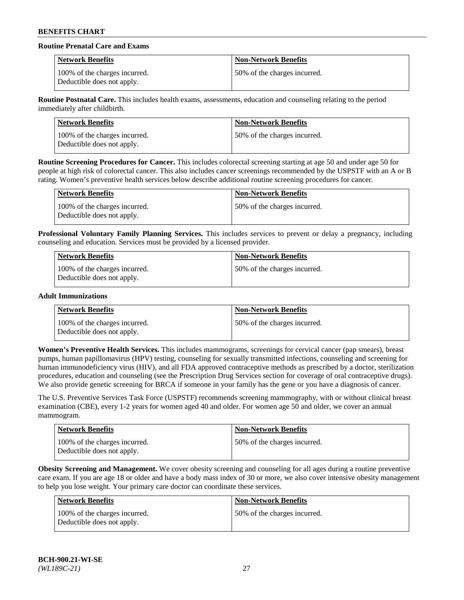# **Routine Prenatal Care and Exams**

| <b>Network Benefits</b>                                     | <b>Non-Network Benefits</b>  |
|-------------------------------------------------------------|------------------------------|
| 100% of the charges incurred.<br>Deductible does not apply. | 50% of the charges incurred. |

**Routine Postnatal Care.** This includes health exams, assessments, education and counseling relating to the period immediately after childbirth.

| <b>Network Benefits</b>                                     | <b>Non-Network Benefits</b>  |
|-------------------------------------------------------------|------------------------------|
| 100% of the charges incurred.<br>Deductible does not apply. | 50% of the charges incurred. |

**Routine Screening Procedures for Cancer.** This includes colorectal screening starting at age 50 and under age 50 for people at high risk of colorectal cancer. This also includes cancer screenings recommended by the USPSTF with an A or B rating. Women's preventive health services below describe additional routine screening procedures for cancer.

| <b>Network Benefits</b>                                     | <b>Non-Network Benefits</b>  |
|-------------------------------------------------------------|------------------------------|
| 100% of the charges incurred.<br>Deductible does not apply. | 50% of the charges incurred. |

**Professional Voluntary Family Planning Services.** This includes services to prevent or delay a pregnancy, including counseling and education. Services must be provided by a licensed provider.

| Network Benefits                                            | <b>Non-Network Benefits</b>  |
|-------------------------------------------------------------|------------------------------|
| 100% of the charges incurred.<br>Deductible does not apply. | 50% of the charges incurred. |

## **Adult Immunizations**

| Network Benefits                                            | <b>Non-Network Benefits</b>  |
|-------------------------------------------------------------|------------------------------|
| 100% of the charges incurred.<br>Deductible does not apply. | 50% of the charges incurred. |

**Women's Preventive Health Services.** This includes mammograms, screenings for cervical cancer (pap smears), breast pumps, human papillomavirus (HPV) testing, counseling for sexually transmitted infections, counseling and screening for human immunodeficiency virus (HIV), and all FDA approved contraceptive methods as prescribed by a doctor, sterilization procedures, education and counseling (see the Prescription Drug Services section for coverage of oral contraceptive drugs). We also provide genetic screening for BRCA if someone in your family has the gene or you have a diagnosis of cancer.

The U.S. Preventive Services Task Force (USPSTF) recommends screening mammography, with or without clinical breast examination (CBE), every 1-2 years for women aged 40 and older. For women age 50 and older, we cover an annual mammogram.

| Network Benefits                                            | <b>Non-Network Benefits</b>  |
|-------------------------------------------------------------|------------------------------|
| 100% of the charges incurred.<br>Deductible does not apply. | 50% of the charges incurred. |

**Obesity Screening and Management.** We cover obesity screening and counseling for all ages during a routine preventive care exam. If you are age 18 or older and have a body mass index of 30 or more, we also cover intensive obesity management to help you lose weight. Your primary care doctor can coordinate these services.

| Network Benefits                                            | <b>Non-Network Benefits</b>  |
|-------------------------------------------------------------|------------------------------|
| 100% of the charges incurred.<br>Deductible does not apply. | 50% of the charges incurred. |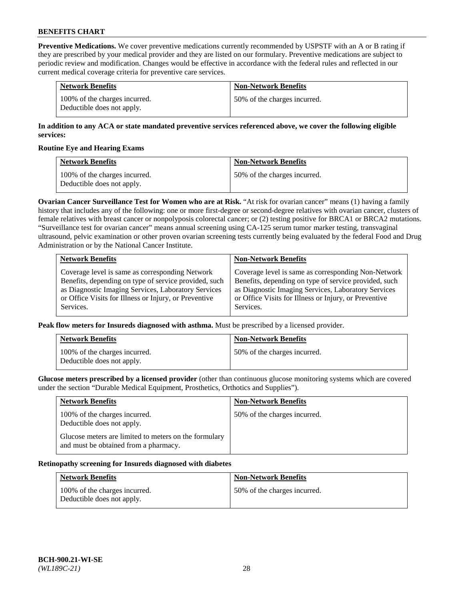**Preventive Medications.** We cover preventive medications currently recommended by USPSTF with an A or B rating if they are prescribed by your medical provider and they are listed on our formulary. Preventive medications are subject to periodic review and modification. Changes would be effective in accordance with the federal rules and reflected in our current medical coverage criteria for preventive care services.

| <b>Network Benefits</b>                                     | <b>Non-Network Benefits</b>  |
|-------------------------------------------------------------|------------------------------|
| 100% of the charges incurred.<br>Deductible does not apply. | 50% of the charges incurred. |

## **In addition to any ACA or state mandated preventive services referenced above, we cover the following eligible services:**

### **Routine Eye and Hearing Exams**

| <b>Network Benefits</b>                                     | <b>Non-Network Benefits</b>  |
|-------------------------------------------------------------|------------------------------|
| 100% of the charges incurred.<br>Deductible does not apply. | 50% of the charges incurred. |

**Ovarian Cancer Surveillance Test for Women who are at Risk.** "At risk for ovarian cancer" means (1) having a family history that includes any of the following: one or more first-degree or second-degree relatives with ovarian cancer, clusters of female relatives with breast cancer or nonpolyposis colorectal cancer; or (2) testing positive for BRCA1 or BRCA2 mutations. "Surveillance test for ovarian cancer" means annual screening using CA-125 serum tumor marker testing, transvaginal ultrasound, pelvic examination or other proven ovarian screening tests currently being evaluated by the federal Food and Drug Administration or by the National Cancer Institute.

| <b>Network Benefits</b>                               | <b>Non-Network Benefits</b>                           |
|-------------------------------------------------------|-------------------------------------------------------|
| Coverage level is same as corresponding Network       | Coverage level is same as corresponding Non-Network   |
| Benefits, depending on type of service provided, such | Benefits, depending on type of service provided, such |
| as Diagnostic Imaging Services, Laboratory Services   | as Diagnostic Imaging Services, Laboratory Services   |
| or Office Visits for Illness or Injury, or Preventive | or Office Visits for Illness or Injury, or Preventive |
| Services.                                             | Services.                                             |

**Peak flow meters for Insureds diagnosed with asthma.** Must be prescribed by a licensed provider.

| <b>Network Benefits</b>                                     | <b>Non-Network Benefits</b>  |
|-------------------------------------------------------------|------------------------------|
| 100% of the charges incurred.<br>Deductible does not apply. | 50% of the charges incurred. |

**Glucose meters prescribed by a licensed provider** (other than continuous glucose monitoring systems which are covered under the section "Durable Medical Equipment, Prosthetics, Orthotics and Supplies").

| <b>Network Benefits</b>                                                                        | <b>Non-Network Benefits</b>  |
|------------------------------------------------------------------------------------------------|------------------------------|
| 100% of the charges incurred.<br>Deductible does not apply.                                    | 50% of the charges incurred. |
| Glucose meters are limited to meters on the formulary<br>and must be obtained from a pharmacy. |                              |

#### **Retinopathy screening for Insureds diagnosed with diabetes**

| <b>Network Benefits</b>                                     | <b>Non-Network Benefits</b>  |
|-------------------------------------------------------------|------------------------------|
| 100% of the charges incurred.<br>Deductible does not apply. | 50% of the charges incurred. |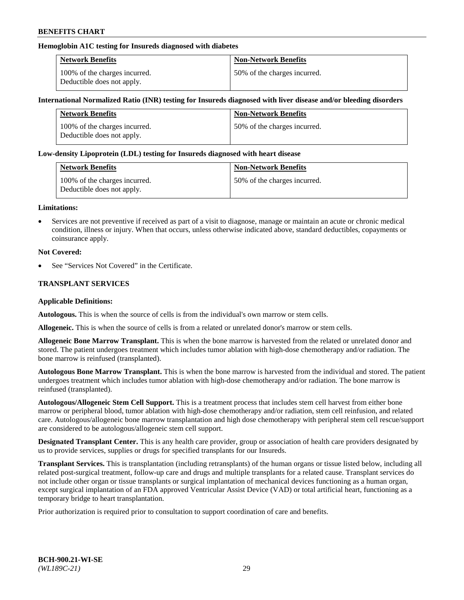## **Hemoglobin A1C testing for Insureds diagnosed with diabetes**

| <b>Network Benefits</b>                                     | <b>Non-Network Benefits</b>  |
|-------------------------------------------------------------|------------------------------|
| 100% of the charges incurred.<br>Deductible does not apply. | 50% of the charges incurred. |

### **International Normalized Ratio (INR) testing for Insureds diagnosed with liver disease and/or bleeding disorders**

| <b>Network Benefits</b>                                     | <b>Non-Network Benefits</b>  |
|-------------------------------------------------------------|------------------------------|
| 100% of the charges incurred.<br>Deductible does not apply. | 50% of the charges incurred. |

### **Low-density Lipoprotein (LDL) testing for Insureds diagnosed with heart disease**

| <b>Network Benefits</b>                                     | <b>Non-Network Benefits</b>  |
|-------------------------------------------------------------|------------------------------|
| 100% of the charges incurred.<br>Deductible does not apply. | 50% of the charges incurred. |

#### **Limitations:**

• Services are not preventive if received as part of a visit to diagnose, manage or maintain an acute or chronic medical condition, illness or injury. When that occurs, unless otherwise indicated above, standard deductibles, copayments or coinsurance apply.

### **Not Covered:**

See "Services Not Covered" in the Certificate.

## **TRANSPLANT SERVICES**

#### **Applicable Definitions:**

**Autologous.** This is when the source of cells is from the individual's own marrow or stem cells.

**Allogeneic.** This is when the source of cells is from a related or unrelated donor's marrow or stem cells.

**Allogeneic Bone Marrow Transplant.** This is when the bone marrow is harvested from the related or unrelated donor and stored. The patient undergoes treatment which includes tumor ablation with high-dose chemotherapy and/or radiation. The bone marrow is reinfused (transplanted).

**Autologous Bone Marrow Transplant.** This is when the bone marrow is harvested from the individual and stored. The patient undergoes treatment which includes tumor ablation with high-dose chemotherapy and/or radiation. The bone marrow is reinfused (transplanted).

**Autologous/Allogeneic Stem Cell Support.** This is a treatment process that includes stem cell harvest from either bone marrow or peripheral blood, tumor ablation with high-dose chemotherapy and/or radiation, stem cell reinfusion, and related care. Autologous/allogeneic bone marrow transplantation and high dose chemotherapy with peripheral stem cell rescue/support are considered to be autologous/allogeneic stem cell support.

**Designated Transplant Center.** This is any health care provider, group or association of health care providers designated by us to provide services, supplies or drugs for specified transplants for our Insureds.

**Transplant Services.** This is transplantation (including retransplants) of the human organs or tissue listed below, including all related post-surgical treatment, follow-up care and drugs and multiple transplants for a related cause. Transplant services do not include other organ or tissue transplants or surgical implantation of mechanical devices functioning as a human organ, except surgical implantation of an FDA approved Ventricular Assist Device (VAD) or total artificial heart, functioning as a temporary bridge to heart transplantation.

Prior authorization is required prior to consultation to support coordination of care and benefits.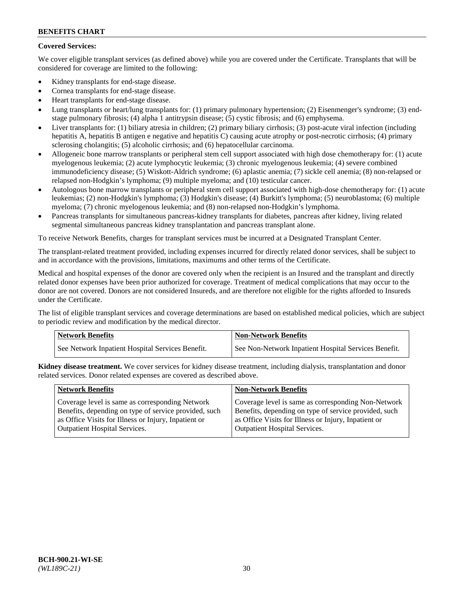# **Covered Services:**

We cover eligible transplant services (as defined above) while you are covered under the Certificate. Transplants that will be considered for coverage are limited to the following:

- Kidney transplants for end-stage disease.
- Cornea transplants for end-stage disease.
- Heart transplants for end-stage disease.
- Lung transplants or heart/lung transplants for: (1) primary pulmonary hypertension; (2) Eisenmenger's syndrome; (3) endstage pulmonary fibrosis; (4) alpha 1 antitrypsin disease; (5) cystic fibrosis; and (6) emphysema.
- Liver transplants for: (1) biliary atresia in children; (2) primary biliary cirrhosis; (3) post-acute viral infection (including hepatitis A, hepatitis B antigen e negative and hepatitis C) causing acute atrophy or post-necrotic cirrhosis; (4) primary sclerosing cholangitis; (5) alcoholic cirrhosis; and (6) hepatocellular carcinoma.
- Allogeneic bone marrow transplants or peripheral stem cell support associated with high dose chemotherapy for: (1) acute myelogenous leukemia; (2) acute lymphocytic leukemia; (3) chronic myelogenous leukemia; (4) severe combined immunodeficiency disease; (5) Wiskott-Aldrich syndrome; (6) aplastic anemia; (7) sickle cell anemia; (8) non-relapsed or relapsed non-Hodgkin's lymphoma; (9) multiple myeloma; and (10) testicular cancer.
- Autologous bone marrow transplants or peripheral stem cell support associated with high-dose chemotherapy for: (1) acute leukemias; (2) non-Hodgkin's lymphoma; (3) Hodgkin's disease; (4) Burkitt's lymphoma; (5) neuroblastoma; (6) multiple myeloma; (7) chronic myelogenous leukemia; and (8) non-relapsed non-Hodgkin's lymphoma.
- Pancreas transplants for simultaneous pancreas-kidney transplants for diabetes, pancreas after kidney, living related segmental simultaneous pancreas kidney transplantation and pancreas transplant alone.

To receive Network Benefits, charges for transplant services must be incurred at a Designated Transplant Center.

The transplant-related treatment provided, including expenses incurred for directly related donor services, shall be subject to and in accordance with the provisions, limitations, maximums and other terms of the Certificate.

Medical and hospital expenses of the donor are covered only when the recipient is an Insured and the transplant and directly related donor expenses have been prior authorized for coverage. Treatment of medical complications that may occur to the donor are not covered. Donors are not considered Insureds, and are therefore not eligible for the rights afforded to Insureds under the Certificate.

The list of eligible transplant services and coverage determinations are based on established medical policies, which are subject to periodic review and modification by the medical director.

| <b>Network Benefits</b>                          | Non-Network Benefits                                 |
|--------------------------------------------------|------------------------------------------------------|
| See Network Inpatient Hospital Services Benefit. | See Non-Network Inpatient Hospital Services Benefit. |

**Kidney disease treatment.** We cover services for kidney disease treatment, including dialysis, transplantation and donor related services. Donor related expenses are covered as described above.

| <b>Network Benefits</b>                               | <b>Non-Network Benefits</b>                           |
|-------------------------------------------------------|-------------------------------------------------------|
| Coverage level is same as corresponding Network       | Coverage level is same as corresponding Non-Network   |
| Benefits, depending on type of service provided, such | Benefits, depending on type of service provided, such |
| as Office Visits for Illness or Injury, Inpatient or  | as Office Visits for Illness or Injury, Inpatient or  |
| <b>Outpatient Hospital Services.</b>                  | Outpatient Hospital Services.                         |